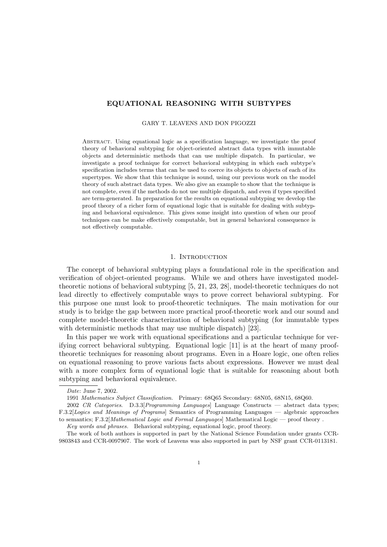# EQUATIONAL REASONING WITH SUBTYPES

#### GARY T. LEAVENS AND DON PIGOZZI

Abstract. Using equational logic as a specification language, we investigate the proof theory of behavioral subtyping for object-oriented abstract data types with immutable objects and deterministic methods that can use multiple dispatch. In particular, we investigate a proof technique for correct behavioral subtyping in which each subtype's specification includes terms that can be used to coerce its objects to objects of each of its supertypes. We show that this technique is sound, using our previous work on the model theory of such abstract data types. We also give an example to show that the technique is not complete, even if the methods do not use multiple dispatch, and even if types specified are term-generated. In preparation for the results on equational subtyping we develop the proof theory of a richer form of equational logic that is suitable for dealing with subtyping and behavioral equivalence. This gives some insight into question of when our proof techniques can be make effectively computable, but in general behavioral consequence is not effectively computable.

#### 1. INTRODUCTION

The concept of behavioral subtyping plays a foundational role in the specification and verification of object-oriented programs. While we and others have investigated modeltheoretic notions of behavioral subtyping [5, 21, 23, 28], model-theoretic techniques do not lead directly to effectively computable ways to prove correct behavioral subtyping. For this purpose one must look to proof-theoretic techniques. The main motivation for our study is to bridge the gap between more practical proof-theoretic work and our sound and complete model-theoretic characterization of behavioral subtyping (for immutable types with deterministic methods that may use multiple dispatch) [23].

In this paper we work with equational specifications and a particular technique for verifying correct behavioral subtyping. Equational logic [11] is at the heart of many prooftheoretic techniques for reasoning about programs. Even in a Hoare logic, one often relies on equational reasoning to prove various facts about expressions. However we must deal with a more complex form of equational logic that is suitable for reasoning about both subtyping and behavioral equivalence.

2002 CR Categories. D.3.3[Programming Languages] Language Constructs — abstract data types; F.3.2[Logics and Meanings of Programs] Semantics of Programming Languages — algebraic approaches to semantics; F.3.2[Mathematical Logic and Formal Languages] Mathematical Logic — proof theory .

Key words and phrases. Behavioral subtyping, equational logic, proof theory.

The work of both authors is supported in part by the National Science Foundation under grants CCR-9803843 and CCR-0097907. The work of Leavens was also supported in part by NSF grant CCR-0113181.

Date: June 7, 2002.

<sup>1991</sup> Mathematics Subject Classification. Primary: 68Q65 Secondary: 68N05, 68N15, 68Q60.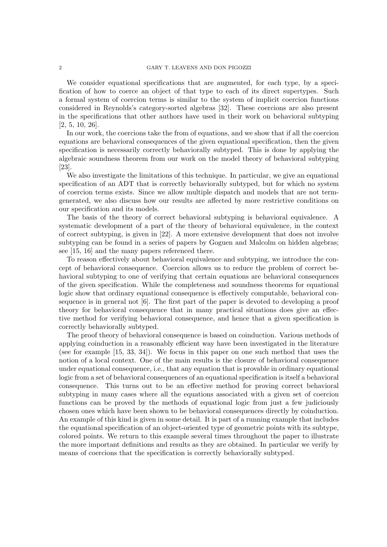## 2 GARY T. LEAVENS AND DON PIGOZZI

We consider equational specifications that are augmented, for each type, by a specification of how to coerce an object of that type to each of its direct supertypes. Such a formal system of coercion terms is similar to the system of implicit coercion functions considered in Reynolds's category-sorted algebras [32]. These coercions are also present in the specifications that other authors have used in their work on behavioral subtyping [2, 5, 10, 26].

In our work, the coercions take the from of equations, and we show that if all the coercion equations are behavioral consequences of the given equational specification, then the given specification is necessarily correctly behaviorally subtyped. This is done by applying the algebraic soundness theorem from our work on the model theory of behavioral subtyping [23].

We also investigate the limitations of this technique. In particular, we give an equational specification of an ADT that is correctly behaviorally subtyped, but for which no system of coercion terms exists. Since we allow multiple dispatch and models that are not termgenerated, we also discuss how our results are affected by more restrictive conditions on our specification and its models.

The basis of the theory of correct behavioral subtyping is behavioral equivalence. A systematic development of a part of the theory of behavioral equivalence, in the context of correct subtyping, is given in [22]. A more extensive development that does not involve subtyping can be found in a series of papers by Goguen and Malcolm on hidden algebras; see [15, 16] and the many papers referenced there.

To reason effectively about behavioral equivalence and subtyping, we introduce the concept of behavioral consequence. Coercion allows us to reduce the problem of correct behavioral subtyping to one of verifying that certain equations are behavioral consequences of the given specification. While the completeness and soundness theorems for equational logic show that ordinary equational consequence is effectively computable, behavioral consequence is in general not [6]. The first part of the paper is devoted to developing a proof theory for behavioral consequence that in many practical situations does give an effective method for verifying behavioral consequence, and hence that a given specification is correctly behaviorally subtyped.

The proof theory of behavioral consequence is based on coinduction. Various methods of applying coinduction in a reasonably efficient way have been investigated in the literature (see for example [15, 33, 34]). We focus in this paper on one such method that uses the notion of a local context. One of the main results is the closure of behavioral consequence under equational consequence, i.e., that any equation that is provable in ordinary equational logic from a set of behavioral consequences of an equational specification is itself a behavioral consequence. This turns out to be an effective method for proving correct behavioral subtyping in many cases where all the equations associated with a given set of coercion functions can be proved by the methods of equational logic from just a few judiciously chosen ones which have been shown to be behavioral consequences directly by coinduction. An example of this kind is given in some detail. It is part of a running example that includes the equational specification of an object-oriented type of geometric points with its subtype, colored points. We return to this example several times throughout the paper to illustrate the more important definitions and results as they are obtained. In particular we verify by means of coercions that the specification is correctly behaviorally subtyped.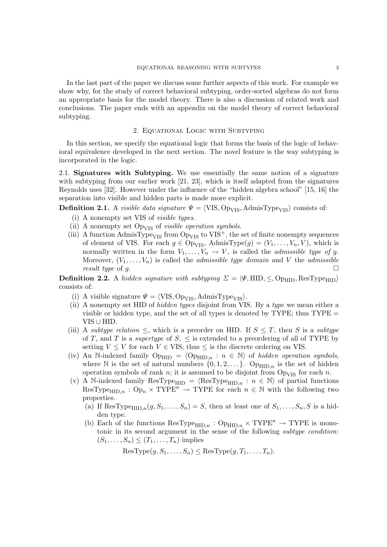In the last part of the paper we discuss some further aspects of this work. For example we show why, for the study of correct behavioral subtyping, order-sorted algebras do not form an appropriate basis for the model theory. There is also a discussion of related work and conclusions. The paper ends with an appendix on the model theory of correct behavioral subtyping.

# 2. Equational Logic with Subtyping

In this section, we specify the equational logic that forms the basis of the logic of behavioral equivalence developed in the next section. The novel feature is the way subtyping is incorporated in the logic.

2.1. Signatures with Subtyping. We use essentially the same notion of a signature with subtyping from our earlier work [21, 23], which is itself adapted from the signatures Reynolds uses [32]. However under the influence of the "hidden algebra school" [15, 16] the separation into visible and hidden parts is made more explicit.

**Definition 2.1.** A *visible data signature*  $\Psi = \langle \text{VIS}, \text{Op}_{\text{VIS}}, \text{AdmisType}_{\text{VIS}} \rangle$  consists of:

- (i) A nonempty set VIS of visible types.
- (ii) A nonempty set  $Op<sub>VIS</sub>$  of *visible operation symbols*.
- (iii) A function AdmisType<sub>VIS</sub> from Op<sub>VIS</sub> to VIS<sup>+</sup>, the set of finite nonempty sequences of element of VIS. For each  $g \in \text{Op}_{\text{VIS}}$ , AdmisType $(g) = (V_1, \ldots, V_n, V)$ , which is normally written in the form  $V_1, \ldots, V_n \to V$ , is called the *admissible type of g*. Moreover,  $(V_1, \ldots, V_n)$  is called the *admissible type domain* and V the *admissible* result type of g.

**Definition 2.2.** A hidden signature with subtyping  $\Sigma = \langle \Psi, \text{HID}, \leq, \text{Op}_{\text{HID}}, \text{ResType}_{\text{HID}} \rangle$ consists of:

- (i) A visible signature  $\Psi = \langle \text{VIS}, \text{Op}_{\text{VIS}}, \text{AdmisType}_{\text{VIS}} \rangle$ .
- (ii) A nonempty set HID of hidden types disjoint from VIS. By a type we mean either a visible or hidden type, and the set of all types is denoted by TYPE; thus  $\text{TYPE} =$ VIS ∪ HID.
- (iii) A subtype relation  $\leq$ , which is a preorder on HID. If  $S \leq T$ , then S is a subtype of T, and T is a *supertype* of S.  $\leq$  is extended to a preordering of all of TYPE by setting  $V \leq V$  for each  $V \in VIS$ ; thus  $\leq$  is the discrete ordering on VIS.
- (iv) An N-indexed family  $Op_{\text{HID}} = \langle Op_{\text{HID},n} : n \in \mathbb{N} \rangle$  of hidden operation symbols, where N is the set of natural numbers  $\{0, 1, 2, \ldots\}$ . Op<sub>HID,n</sub> is the set of hidden operation symbols of rank n; it is assumed to be disjoint from  $Op_{VIS}$  for each n.
- (v) A N-indexed family ResType<sub>HID</sub> =  $\langle$ ResType<sub>HID,n</sub> : n  $\in$  N $\rangle$  of partial functions  $ResType_{HID,n} : Op_n \times TYPE^n \rightarrow TYPE$  for each  $n \in \mathbb{N}$  with the following two properties.
	- (a) If ResType<sub>HID,n</sub> $(g, S_1, \ldots, S_n) = S$ , then at least one of  $S_1, \ldots, S_n$ , S is a hidden type.
	- (b) Each of the functions  $\text{ResType}_{\text{HID},n} : \text{Op}_{\text{HID},n} \times \text{TYPE}^n \to \text{TYPE}$  is monotonic in its second argument in the sense of the following subtype condition:  $(S_1, \ldots, S_n) \leq (T_1, \ldots, T_n)$  implies

 $ResType(q, S_1, \ldots, S_n) \leq ResType(q, T_1, \ldots, T_n).$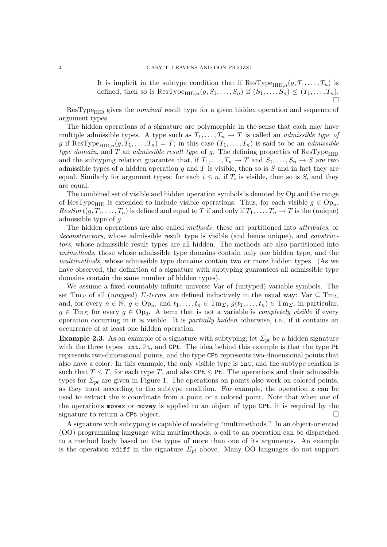It is implicit in the subtype condition that if  $\text{ResType}_{\text{HID},n}(g, T_1, \ldots, T_n)$  is defined, then so is  $\text{ResType}_{\text{HID},n}(g, S_1, \ldots, S_n)$  if  $(S_1, \ldots, S_n) \leq (T_1, \ldots, T_n)$ .  $\sum_{i=1}^{n}$ 

 $ResType<sub>HID</sub>$  gives the *nominal* result type for a given hidden operation and sequence of argument types.

The hidden operations of a signature are polymorphic in the sense that each may have multiple admissible types. A type such as  $T_1, \ldots, T_n \to T$  is called an *admissible type of* g if ResType<sub>HID,n</sub> $(g, T_1, \ldots, T_n) = T$ ; in this case  $(T_1, \ldots, T_n)$  is said to be an *admissible* type domain, and T an admissible result type of g. The defining properties of  $ResType_{\text{HID}}$ and the subtyping relation guarantee that, if  $T_1, \ldots, T_n \to T$  and  $S_1, \ldots, S_n \to S$  are two admissible types of a hidden operation  $g$  and  $T$  is visible, then so is  $S$  and in fact they are equal. Similarly for argument types: for each  $i \leq n$ , if  $T_i$  is visible, then so is  $S_i$  and they are equal.

The combined set of visible and hidden operation symbols is denoted by Op and the range of ResType<sub>HID</sub> is extended to include visible operations. Thus, for each visible  $g \in \text{Op}_n$ ,  $ResSort(g, T_1, \ldots, T_n)$  is defined and equal to T if and only if  $T_1, \ldots, T_n \to T$  is the (unique) admissible type of g.

The hidden operations are also called *methods*; these are partitioned into *attributes*, or deconstructors, whose admissible result type is visible (and hence unique), and *construc*tors, whose admissible result types are all hidden. The methods are also partitioned into unimethods, those whose admissible type domains contain only one hidden type, and the multimethods, whose admissible type domains contain two or more hidden types. (As we have observed, the definition of a signature with subtyping guarantees all admissible type domains contain the same number of hidden types).

We assume a fixed countably infinite universe Var of (untyped) variable symbols. The set Tm<sub>Σ</sub> of all (untyped)  $\Sigma$ -terms are defined inductively in the usual way: Var  $\subseteq$  Tm<sub>Σ</sub> and, for every  $n \in \mathbb{N}$ ,  $g \in \text{Op}_n$ , and  $t_1, \ldots, t_n \in \text{Im}_{\Sigma}$ ,  $g(t_1, \ldots, t_n) \in \text{Im}_{\Sigma}$ ; in particular,  $g \in \mathrm{Tm}_{\Sigma}$  for every  $g \in \mathrm{Op}_0$ . A term that is not a variable is *completely visible* if every operation occurring in it is visible. It is partially hidden otherwise, i.e., if it contains an occurrence of at least one hidden operation.

**Example 2.3.** As an example of a signature with subtyping, let  $\Sigma_{pt}$  be a hidden signature with the three types: int, Pt, and CPt. The idea behind this example is that the type Pt represents two-dimensional points, and the type CPt represents two-dimensional points that also have a color. In this example, the only visible type is int, and the subtype relation is such that  $T \leq T$ , for each type T, and also CPt  $\leq$  Pt. The operations and their admissible types for  $\Sigma_{pt}$  are given in Figure 1. The operations on points also work on colored points, as they must according to the subtype condition. For example, the operation x can be used to extract the x coordinate from a point or a colored point. Note that when one of the operations movex or movey is applied to an object of type CPt, it is required by the signature to return a CPt object.

A signature with subtyping is capable of modeling "multimethods." In an object-oriented (OO) programming language with multimethods, a call to an operation can be dispatched to a method body based on the types of more than one of its arguments. An example is the operation xdiff in the signature  $\Sigma_{pt}$  above. Many OO languages do not support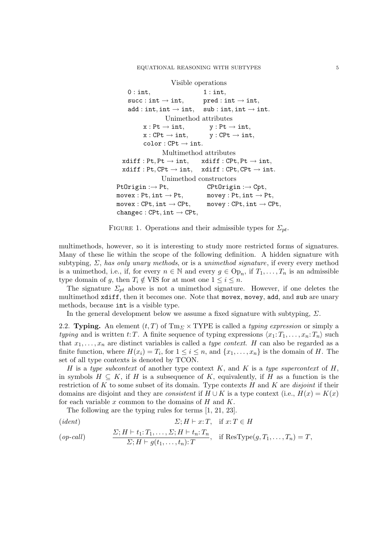```
Visible operations
    0: \text{int}, 1: \text{int},succ: int \rightarrow int, pred: int \rightarrow int,add: int, int \rightarrow int, sub: int, int \rightarrow int.Unimethod attributes
          x : Pt \rightarrow int, y : Pt \rightarrow int,x : CPt \rightarrow int, y : CPt \rightarrow int,color:CFt \rightarrow int.Multimethod attributes
  xdiff : Pt, Pt \rightarrow int, xdiff : CPt, Pt \rightarrow int,xdiff : Pt, CPt \rightarrow int, xdiff : CPt, CPt \rightarrow int.Unimethod constructors
Pt0right : \rightarrow Pt, CPt0rigin :\rightarrow Cpt,
move x : Pt, int \rightarrow Pt, movey : Pt, int \rightarrow Pt,move x : CPt, int \rightarrow CPt, movey : CPt, int \rightarrow CPt.
change: CPt, int \rightarrow CPt,
```
FIGURE 1. Operations and their admissible types for  $\Sigma_{pt}$ .

multimethods, however, so it is interesting to study more restricted forms of signatures. Many of these lie within the scope of the following definition. A hidden signature with subtyping,  $\Sigma$ , has only unary methods, or is a unimethod signature, if every every method is a unimethod, i.e., if, for every  $n \in \mathbb{N}$  and every  $g \in \text{Op}_n$ , if  $T_1, \ldots, T_n$  is an admissible type domain of g, then  $T_i \notin VIS$  for at most one  $1 \leq i \leq n$ .

The signature  $\Sigma_{pt}$  above is not a unimethod signature. However, if one deletes the multimethod xdiff, then it becomes one. Note that movex, movey, add, and sub are unary methods, because int is a visible type.

In the general development below we assume a fixed signature with subtyping,  $\Sigma$ .

2.2. Typing. An element  $(t, T)$  of Tm<sub> $\Sigma$ </sub> × TYPE is called a *typing expression* or simply a typing and is written t: T. A finite sequence of typing expressions  $\langle x_1: T_1, \ldots, x_n: T_n \rangle$  such that  $x_1, \ldots, x_n$  are distinct variables is called a type context. H can also be regarded as a finite function, where  $H(x_i) = T_i$ , for  $1 \leq i \leq n$ , and  $\{x_1, \ldots, x_n\}$  is the domain of H. The set of all type contexts is denoted by TCON.

H is a type subcontext of another type context K, and K is a type supercontext of  $H$ , in symbols  $H \subseteq K$ , if H is a subsequence of K, equivalently, if H as a function is the restriction of K to some subset of its domain. Type contexts  $H$  and  $K$  are *disjoint* if their domains are disjoint and they are *consistent* if  $H \cup K$  is a type context (i.e.,  $H(x) = K(x)$ ) for each variable  $x$  common to the domains of  $H$  and  $K$ .

The following are the typing rules for terms [1, 21, 23].

(*ident*)  
\n
$$
\Sigma; H \vdash x; T, \quad \text{if } x; T \in H
$$
\n(*op-call*)  
\n
$$
\frac{\Sigma; H \vdash t_1; T_1, \dots, \Sigma; H \vdash t_n; T_n}{\Sigma; H \vdash g(t_1, \dots, t_n); T}, \quad \text{if } \text{ResType}(g, T_1, \dots, T_n) = T,
$$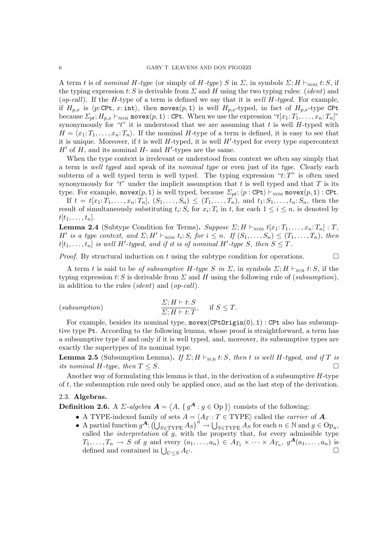A term t is of nominal H-type (or simply of H-type) S in  $\Sigma$ , in symbols  $\Sigma$ ; H  $\vdash_{\text{NOM}} t: S$ , if the typing expression t: S is derivable from  $\Sigma$  and H using the two typing rules: (*ident*) and (op-call). If the H-type of a term is defined we say that it is well H-typed. For example, if  $H_{p,x}$  is  $\langle p:\text{CPt}, x:\text{int}\rangle$ , then movex $(p, 1)$  is well  $H_{p,x}$ -typed, in fact of  $H_{p,x}$ -type CPt because  $\Sigma_{pt}$ ;  $H_{p,x} \vdash_{\text{NOM}} \text{move}(p, 1)$ : CPt. When we use the expression " $t[x_1: T_1, \ldots, x_n: T_n]$ " synonymously for " $t$ " it is understood that we are assuming that t is well H-typed with  $H = \langle x_1: T_1, \ldots, x_n: T_n \rangle$ . If the nominal H-type of a term is defined, it is easy to see that it is unique. Moreover, if t is well  $H$ -typed, it is well  $H'$ -typed for every type supercontext  $H'$  of  $H$ , and its nominal  $H$ - and  $H'$ -types are the same.

When the type context is irrelevant or understood from context we often say simply that a term is well typed and speak of its nominal type or even just of its type. Clearly each subterm of a well typed term is well typed. The typing expression " $t:T$ " is often used synonymously for "t" under the implicit assumption that t is well typed and that  $T$  is its type. For example, movex $(p, 1)$  is well typed, because  $\Sigma_{pt}$ ;  $\langle p : \text{CPt} \rangle \vdash_{\text{NOM}} \text{move}(p, 1) : \text{CPt}.$ 

If  $t = t[x_1; T_1, \ldots, x_n; T_n], (S_1, \ldots, S_n) \le (T_1, \ldots, T_n),$  and  $t_1; S_1, \ldots, t_n; S_n$ , then the result of simultaneously substituting  $t_i: S_i$  for  $x_i: T_i$  in t, for each  $1 \leq i \leq n$ , is denoted by  $t[t_1,\ldots,t_n].$ 

**Lemma 2.4** (Subtype Condition for Terms). Suppose  $\Sigma; H \vdash_{\text{NOM}} t[x_1; T_1, \ldots, x_n; T_n] : T$ , H' is a type context, and  $\Sigma; H' \vdash_{\text{NOM}} t_i; S_i$  for  $i \leq n$ . If  $(S_1, \ldots, S_n) \leq (T_1, \ldots, T_n)$ , then  $t[t_1,\ldots,t_n]$  is well H'-typed, and if it is of nominal H'-type S, then  $S \leq T$ .

*Proof.* By structural induction on t using the subtype condition for operations.  $\Box$ 

A term t is said to be of subsumptive H-type S in  $\Sigma$ , in symbols  $\Sigma$ ; H  $\vdash_{\text{SUB}} t: S$ , if the typing expression t: S is derivable from  $\Sigma$  and H using the following rule of (subsumption), in addition to the rules (ident) and (op-call).

$$
(subsumption) \qquad \qquad \frac{\Sigma; H \vdash t: S}{\Sigma; H \vdash t: T}, \quad \text{if } S \leq T.
$$

For example, besides its nominal type,  $move(CPtOright(0), 1)$ : CPt also has subsumptive type Pt. According to the following lemma, whose proof is straightforward, a term has a subsumptive type if and only if it is well typed, and, moreover, its subsumptive types are exactly the supertypes of its nominal type.

**Lemma 2.5** (Subsumption Lemma). If  $\Sigma$ ; H  $\vdash_{SUB} t: S$ , then t is well H-typed, and if T is its nominal H-type, then  $T \leq S$ .

Another way of formulating this lemma is that, in the derivation of a subsumptive  $H$ -type of  $t$ , the subsumption rule need only be applied once, and as the last step of the derivation.

## 2.3. Algebras.

**Definition 2.6.** A  $\Sigma$ -algebra  $\mathbf{A} = \langle A, \{ g^{\mathbf{A}} : g \in \text{Op} \} \rangle$  consists of the following:

- A TYPE-indexed family of sets  $A = \langle A_T : T \in \text{TYPE} \rangle$  called the *carrier* of A.
- A partial function  $g^A: (\bigcup_{S \in \text{Type }A_S})^n \to \bigcup_{S \in \text{Type }A_S}$  for each  $n \in \mathbb{N}$  and  $g \in \text{Op}_n$ , called the *interpretation* of  $g$ , with the property that, for every admissible type  $T_1, \ldots, T_n \to \tilde{S}$  of g and every  $(a_1, \ldots, a_n) \in A_{T_1} \times \cdots \times A_{T_n}$ ,  $g^{\mathbf{A}}(a_1, \ldots, a_n)$  is defined and contained in  $\bigcup_{U\leq S} A_U$ .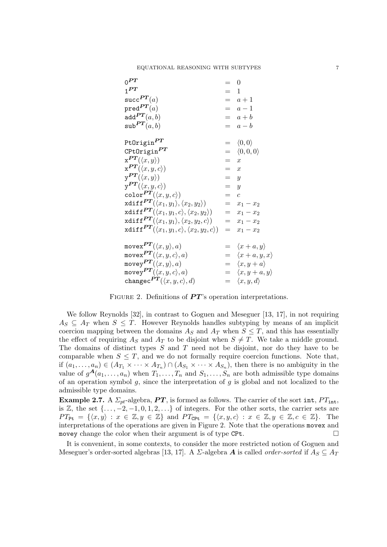| $0^{PT}$                                                                                      |       | $\overline{\phantom{0}}$      |
|-----------------------------------------------------------------------------------------------|-------|-------------------------------|
| 1 <sup>PT</sup>                                                                               | $=$ 1 |                               |
| $succ^{PT}(a)$                                                                                |       | $=$ $a+1$                     |
| $pred^{PT}(a)$                                                                                |       | $=$ $a-1$                     |
| add $PT(a, b)$                                                                                |       | $= a + b$                     |
| $\mathsf{sub}^{PT}(a,b)$                                                                      |       | $= a - b$                     |
|                                                                                               |       |                               |
| PtOrigin $PT$                                                                                 |       | $= \langle 0,0 \rangle$       |
| $\text{CPtOrigin}^{PT}$                                                                       |       | $= \langle 0, 0, 0 \rangle$   |
| $\mathbf{x}^{PT}(\langle x,y\rangle)$                                                         | $= x$ |                               |
| $\mathbf{x}^{PT}(\langle x,y,c\rangle)$                                                       | $= x$ |                               |
| $\mathrm{v}^{PT}(\langle x,y\rangle)$                                                         | $= y$ |                               |
| $\mathbf{v}^{PT}(\langle x,y,c\rangle)$                                                       | $= y$ |                               |
| $\texttt{color}^{PT}(\langle x,y,c \rangle)$                                                  | $=$ c |                               |
| $\texttt{xdiff}^{\, \bm{PT}}(\langle x_1, y_1\rangle, \langle x_2, y_2\rangle)$               |       | $= x_1 - x_2$                 |
| $\texttt{xdiff}^{\, \bm{PT}}(\langle x_1,y_1,c \rangle, \langle x_2,y_2 \rangle)$             |       | $= x_1 - x_2$                 |
| $\texttt{xdiff}^{\textbf{\textit{PT}}}(\langle x_1,y_1\rangle,\langle x_2,y_2,c\rangle)$      |       | $=$ $x_1 - x_2$               |
| $\texttt{xdiff}^{\textbf{\textit{PT}}}(\langle x_1,y_1,c \rangle, \langle x_2,y_2,c \rangle)$ |       | $= x_1 - x_2$                 |
|                                                                                               |       |                               |
| movex $PT(\langle x,y \rangle, a)$                                                            |       | $= \langle x+a, y \rangle$    |
| movex $PT(\langle x,y,c \rangle, a)$                                                          |       | $= \langle x+a,y,x \rangle$   |
| movey $PT(\langle x,y \rangle, a)$                                                            |       | $= \langle x, y + a \rangle$  |
| movey $PT(\langle x,y,c \rangle, a)$                                                          |       | $= \langle x, y+a, y \rangle$ |
| changec $PT(\langle x,y,c \rangle, d)$                                                        |       | $= \langle x, y, d \rangle$   |

FIGURE 2. Definitions of  $PT$ 's operation interpretations.

We follow Reynolds [32], in contrast to Goguen and Meseguer [13, 17], in not requiring  $A_S \subseteq A_T$  when  $S \subseteq T$ . However Reynolds handles subtyping by means of an implicit coercion mapping between the domains  $A_S$  and  $A_T$  when  $S \leq T$ , and this has essentially the effect of requiring  $A_S$  and  $A_T$  to be disjoint when  $S \neq T$ . We take a middle ground. The domains of distinct types S and T need not be disjoint, nor do they have to be comparable when  $S \leq T$ , and we do not formally require coercion functions. Note that, if  $(a_1, \ldots, a_n) \in (A_{T_1} \times \cdots \times A_{T_n}) \cap (A_{S_1} \times \cdots \times A_{S_n})$ , then there is no ambiguity in the value of  $g^{\mathcal{A}}(a_1,\ldots,a_n)$  when  $T_1,\ldots,T_n$  and  $S_1,\ldots,S_n$  are both admissible type domains of an operation symbol  $g$ , since the interpretation of  $g$  is global and not localized to the admissible type domains.

**Example 2.7.** A  $\Sigma_{pt}$ -algebra, **PT**, is formed as follows. The carrier of the sort int,  $PT_{\text{int}}$ , is Z, the set  $\{\ldots, -2, -1, 0, 1, 2, \ldots\}$  of integers. For the other sorts, the carrier sets are  $PT_{\text{Pt}} = \{ \langle x, y \rangle : x \in \mathbb{Z}, y \in \mathbb{Z} \}$  and  $PT_{\text{CPt}} = \{ \langle x, y, c \rangle : x \in \mathbb{Z}, y \in \mathbb{Z}, c \in \mathbb{Z} \}.$  The interpretations of the operations are given in Figure 2. Note that the operations movex and movey change the color when their argument is of type CPt.

It is convenient, in some contexts, to consider the more restricted notion of Goguen and Meseguer's order-sorted algebras [13, 17]. A  $\Sigma$ -algebra **A** is called *order-sorted* if  $A_S \subseteq A_T$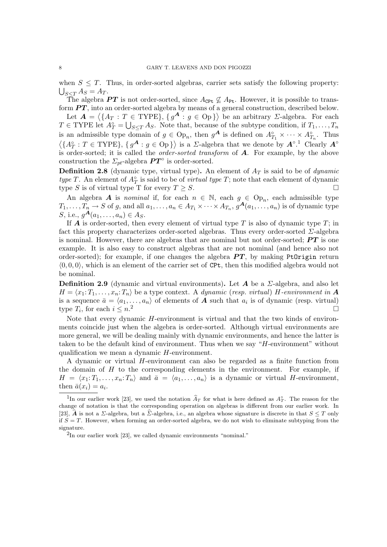when  $S \leq T$ . Thus, in order-sorted algebras, carrier sets satisfy the following property:  $\bigcup_{S\leq T}A_S=A_T.$ 

The algebra PT is not order-sorted, since  $A_{\text{CPt}} \nsubseteq A_{\text{Pt}}$ . However, it is possible to transform  $PT$ , into an order-sorted algebra by means of a general construction, described below.

Let  $\mathbf{A} = \langle \{A_T : T \in \text{TYPE}\}, \{g^{\mathbf{A}} : g \in \text{Op}\}\rangle$  be an arbitrary *Σ*-algebra. For each  $T \in \text{TYPE}$  let  $A_T^{\circ} = \bigcup_{S \leq T} A_S$ . Note that, because of the subtype condition, if  $T_1, \ldots, T_n$ is an admissible type domain of  $g \in \text{Op}_n$ , then  $g^{\mathbf{A}}$  is defined on  $A_{T_1}^{\circ} \times \cdots \times A_{T_n}^{\circ}$ . Thus  $\langle \{A_T^{\circ}: T \in \text{TYPE}\}, \{g^{\mathbf{A}}: g \in \text{Op}\}\rangle$  is a *Σ*-algebra that we denote by  $\mathbf{A}^{\circ}$ .<sup>1</sup> Clearly  $\mathbf{A}^{\circ}$ is order-sorted; it is called the order-sorted transform of A. For example, by the above construction the  $\Sigma_{pt}$ -algebra  $PT^{\circ}$  is order-sorted.

**Definition 2.8** (dynamic type, virtual type). An element of  $A_T$  is said to be of *dynamic* type T. An element of  $A_T^{\circ}$  is said to be of *virtual type T*; note that each element of dynamic type S is of virtual type T for every  $T \geq S$ .

An algebra A is *nominal* if, for each  $n \in \mathbb{N}$ , each  $g \in \text{Op}_n$ , each admissible type  $T_1,\ldots,\overline{T_n}\to S$  of g, and all  $a_1,\ldots,a_n\in A_{T_1}\times\cdots\times A_{T_n},\,g^{\bm{A}}(a_1,\ldots,a_n)$  is of dynamic type *S*, i.e.,  $g^{A}(a_1, ..., a_n) \in A_S$ .

If  $A$  is order-sorted, then every element of virtual type  $T$  is also of dynamic type  $T$ ; in fact this property characterizes order-sorted algebras. Thus every order-sorted  $\Sigma$ -algebra is nominal. However, there are algebras that are nominal but not order-sorted;  $PT$  is one example. It is also easy to construct algebras that are not nominal (and hence also not order-sorted); for example, if one changes the algebra  $PT$ , by making PtOrigin return  $\langle 0, 0, 0 \rangle$ , which is an element of the carrier set of CPt, then this modified algebra would not be nominal.

**Definition 2.9** (dynamic and virtual environments). Let **A** be a  $\Sigma$ -algebra, and also let  $H = \langle x_1: T_1, \ldots, x_n: T_n \rangle$  be a type context. A dynamic (resp. virtual) H-environment in A is a sequence  $\bar{a} = \langle a_1, \ldots, a_n \rangle$  of elements of **A** such that  $a_i$  is of dynamic (resp. virtual) type  $T_i$ , for each  $i \leq n^2$ 

Note that every dynamic  $H$ -environment is virtual and that the two kinds of environments coincide just when the algebra is order-sorted. Although virtual environments are more general, we will be dealing mainly with dynamic environments, and hence the latter is taken to be the default kind of environment. Thus when we say "H-environment" without qualification we mean a dynamic H-environment.

A dynamic or virtual H-environment can also be regarded as a finite function from the domain of  $H$  to the corresponding elements in the environment. For example, if  $H = \langle x_1: T_1, \ldots, x_n: T_n \rangle$  and  $\bar{a} = \langle a_1, \ldots, a_n \rangle$  is a dynamic or virtual H-environment, then  $\bar{a}(x_i) = a_i$ .

<sup>&</sup>lt;sup>1</sup>In our earlier work [23], we used the notation  $\hat{A}_T$  for what is here defined as  $A_T^{\circ}$ . The reason for the change of notation is that the corresponding operation on algebras is different from our earlier work. In [23],  $\hat{A}$  is not a  $\Sigma$ -algebra, but a  $\Sigma$ -algebra, i.e., an algebra whose signature is discrete in that  $S \leq T$  only if  $S = T$ . However, when forming an order-sorted algebra, we do not wish to eliminate subtyping from the signature.

 ${}^{2}$ In our earlier work [23], we called dynamic environments "nominal."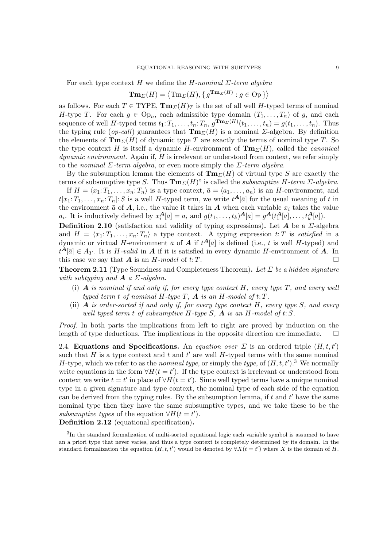For each type context H we define the H-nominal  $\Sigma$ -term algebra

$$
\mathbf{Tm}_{\Sigma}(H) = \langle \mathrm{Tm}_{\Sigma}(H), \{ g^{\mathbf{Tm}_{\Sigma}(H)} : g \in \mathrm{Op} \} \rangle
$$

as follows. For each  $T \in \text{TYPE}, \text{Tm}_{\Sigma}(H)_T$  is the set of all well H-typed terms of nominal H-type T. For each  $g \in \text{Op}_n$ , each admissible type domain  $(T_1, \ldots, T_n)$  of g, and each sequence of well H-typed terms  $t_1: T_1, \ldots, t_n: T_n$ ,  $g^{\textbf{Tm}_{\Sigma}(H)}(t_1, \ldots, t_n) = g(t_1, \ldots, t_n)$ . Thus the typing rule (op-call) guarantees that  $\mathbf{Tm}_{\Sigma}(H)$  is a nominal *Σ*-algebra. By definition the elements of  $\mathbf{Tm}_{\Sigma}(H)$  of dynamic type T are exactly the terms of nominal type T. So the type context H is itself a dynamic H-environment of  $\mathbf{Tm}_{\Sigma}(H)$ , called the *canonical*  $dynamic\ environment.$  Again if,  $H$  is irrelevant or understood from context, we refer simply to the nominal  $\Sigma$ -term algebra, or even more simply the  $\Sigma$ -term algebra.

By the subsumption lemma the elements of  $\mathbf{Tm}_{\Sigma}(H)$  of virtual type S are exactly the terms of subsumptive type S. Thus  $\text{Im}_{\Sigma}(H)^\circ$  is called the subsumptive H-term  $\Sigma$ -algebra.

If  $H = \langle x_1: T_1, \ldots, x_n: T_n \rangle$  is a type context,  $\bar{a} = \langle a_1, \ldots, a_n \rangle$  is an H-environment, and  $t[x_1: T_1, \ldots, x_n: T_n]: S$  is a well H-typed term, we write  $t^{\mathbf{A}}[\bar{a}]$  for the usual meaning of t in the environment  $\bar{a}$  of  $A$ , i.e., the value it takes in  $A$  when each variable  $x_i$  takes the value  $a_i$ . It is inductively defined by  $x_i^{\mathbf{A}}[\bar{a}] = a_i$  and  $g(t_1, \ldots, t_k)^{\mathbf{A}}[\bar{a}] = g^{\mathbf{A}}(t_1^{\mathbf{A}}[\bar{a}], \ldots, t_k^{\mathbf{A}}[\bar{a}]).$ 

**Definition 2.10** (satisfaction and validity of typing expressions). Let A be a  $\Sigma$ -algebra and  $H = \langle x_1: T_1, \ldots, x_n: T_n \rangle$  a type context. A typing expression t: T is satisfied in a dynamic or virtual H-environment  $\bar{a}$  of  $A$  if  $t^{\mathbf{A}}[\bar{a}]$  is defined (i.e., t is well H-typed) and  $t^{\mathbf{A}}[\bar{a}] \in A_T$ . It is H-valid in **A** if it is satisfied in every dynamic H-environment of **A**. In this case we say that  $\boldsymbol{A}$  is an  $H$ -model of  $t:T$ .

**Theorem 2.11** (Type Soundness and Completeness Theorem). Let  $\Sigma$  be a hidden signature with subtyping and  $\boldsymbol{A}$  a  $\Sigma$ -algebra.

- (i)  $\bf{A}$  is nominal if and only if, for every type context  $\bf{H}$ , every type  $\bf{T}$ , and every well typed term t of nominal H-type  $T$ ,  $\boldsymbol{A}$  is an H-model of  $t$ :  $T$ .
- (ii)  $\vec{A}$  is order-sorted if and only if, for every type context H, every type S, and every well typed term t of subsumptive H-type  $S$ ,  $\boldsymbol{A}$  is an H-model of t: S.

Proof. In both parts the implications from left to right are proved by induction on the length of type deductions. The implications in the opposite direction are immediate.  $\Box$ 

2.4. Equations and Specifications. An equation over  $\Sigma$  is an ordered triple  $(H, t, t')$ such that H is a type context and t and t' are well H-typed terms with the same nominal H-type, which we refer to as the *nominal type*, or simply the *type*, of  $(H, t, t')$ .<sup>3</sup> We normally write equations in the form  $\forall H(t=t')$ . If the type context is irrelevant or understood from context we write  $t = t'$  in place of  $\forall H(t = t')$ . Since well typed terms have a unique nominal type in a given signature and type context, the nominal type of each side of the equation can be derived from the typing rules. By the subsumption lemma, if t and t' have the same nominal type then they have the same subsumptive types, and we take these to be the subsumptive types of the equation  $\forall H(t=t')$ .

Definition 2.12 (equational specification).

<sup>&</sup>lt;sup>3</sup>In the standard formalization of multi-sorted equational logic each variable symbol is assumed to have an a priori type that never varies, and thus a type context is completely determined by its domain. In the standard formalization the equation  $(H, t, t')$  would be denoted by  $\forall X(t = t')$  where X is the domain of H.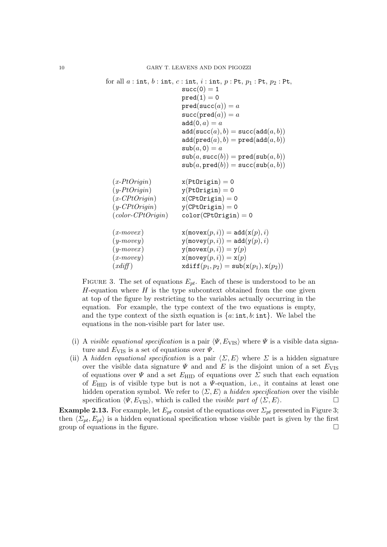```
for all a: int, b: int, c: int, i: int, p: Pt, p_1: Pt, p_2: Pt,
                          succ(0) = 1pred(1) = 0pred(succ(a)) = asucc(pred(a)) = aadd(0, a) = aadd(succ(a), b) = succ(add(a, b))add(pred(a), b) = pred(add(a, b))\text{sub}(a, 0) = a\texttt{sub}(a, \texttt{succ}(b)) = \texttt{pred}(\texttt{sub}(a, b))\text{sub}(a, \text{pred}(b)) = \text{succ}(\text{sub}(a, b))(x-PtOriqin) x(PtOriqin) = 0(y-PtOrigin) y(PtOrigin) = 0
  (x-CPtOrigin) x(CPtOrigin) = 0
  (y-CPtOrigin) y(CPtOrigin) = 0
  (color-CPtOrigin) color(CPtOrigin) = 0
  (x\text{-}move x) x(\text{move }x(p, i)) = \text{add}(x(p), i)(y\text{-}movey) y(\text{movey}(p, i)) = \text{add}(y(p), i)(y\text{-}move x) y(\text{move }x(p, i)) = y(p)(x\text{-}move y) \mathbf{x}(\text{move }y, i) = \mathbf{x}(p)(xdiff) xdiff(p_1, p_2) = sub(x(p_1), x(p_2))
```
FIGURE 3. The set of equations  $E_{nt}$ . Each of these is understood to be an  $H$ -equation where  $H$  is the type subcontext obtained from the one given at top of the figure by restricting to the variables actually occurring in the equation. For example, the type context of the two equations is empty, and the type context of the sixth equation is  $\{a: \text{int}, b: \text{int}\}\.$  We label the equations in the non-visible part for later use.

- (i) A visible equational specification is a pair  $\langle \Psi, E_{\text{VIS}} \rangle$  where  $\Psi$  is a visible data signature and  $E_{\text{VIS}}$  is a set of equations over  $\Psi$ .
- (ii) A hidden equational specification is a pair  $\langle \Sigma, E \rangle$  where  $\Sigma$  is a hidden signature over the visible data signature  $\Psi$  and and E is the disjoint union of a set  $E_{\text{VIS}}$ of equations over  $\Psi$  and a set  $E_{\text{HID}}$  of equations over  $\Sigma$  such that each equation of  $E_{\text{HID}}$  is of visible type but is not a  $\Psi$ -equation, i.e., it contains at least one hidden operation symbol. We refer to  $\langle \Sigma, E \rangle$  a hidden specification over the visible specification  $\langle \Psi, E_{\text{VIS}} \rangle$ , which is called the *visible part of*  $\langle \Sigma, E \rangle$ .

**Example 2.13.** For example, let  $E_{pt}$  consist of the equations over  $\Sigma_{pt}$  presented in Figure 3; then  $\langle \Sigma_{pt}, E_{pt} \rangle$  is a hidden equational specification whose visible part is given by the first group of equations in the figure.  $\Box$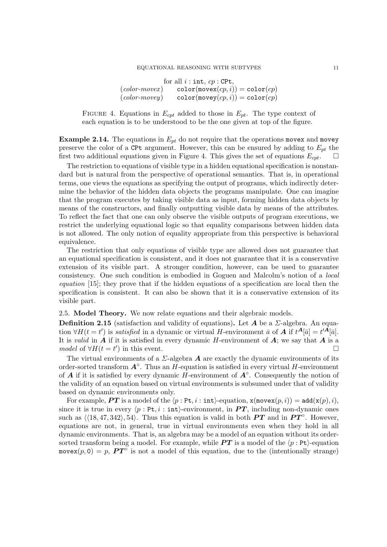### EQUATIONAL REASONING WITH SUBTYPES 11

for all  $i : \text{int}, cp : \text{CPt},$  $(color-movex)$  color(movex $(cp, i)$ ) = color $(cp)$  $(color-movey)$  color(movey $(cp, i)$ ) = color(cp)

FIGURE 4. Equations in  $E_{cpt}$  added to those in  $E_{pt}$ . The type context of each equation is to be understood to be the one given at top of the figure.

**Example 2.14.** The equations in  $E_{pt}$  do not require that the operations movex and movey preserve the color of a CPt argument. However, this can be ensured by adding to  $E_{pt}$  the first two additional equations given in Figure 4. This gives the set of equations  $E_{cpt}$ .

The restriction to equations of visible type in a hidden equational specification is nonstandard but is natural from the perspective of operational semantics. That is, in operational terms, one views the equations as specifying the output of programs, which indirectly determine the behavior of the hidden data objects the programs manipulate. One can imagine that the program executes by taking visible data as input, forming hidden data objects by means of the constructors, and finally outputting visible data by means of the attributes. To reflect the fact that one can only observe the visible outputs of program executions, we restrict the underlying equational logic so that equality comparisons between hidden data is not allowed. The only notion of equality appropriate from this perspective is behavioral equivalence.

The restriction that only equations of visible type are allowed does not guarantee that an equational specification is consistent, and it does not guarantee that it is a conservative extension of its visible part. A stronger condition, however, can be used to guarantee consistency. One such condition is embodied in Goguen and Malcolm's notion of a local equation [15]; they prove that if the hidden equations of a specification are local then the specification is consistent. It can also be shown that it is a conservative extension of its visible part.

2.5. Model Theory. We now relate equations and their algebraic models.

**Definition 2.15** (satisfaction and validity of equations). Let  $A$  be a  $\Sigma$ -algebra. An equation  $\forall H(t=t')$  is *satisfied* in a dynamic or virtual H-environment  $\bar{a}$  of  $\vec{A}$  if  $t^{\mathbf{A}}[\bar{a}] = t'^{\mathbf{A}}[\bar{a}].$ It is valid in  $A$  if it is satisfied in every dynamic H-environment of  $A$ ; we say that  $A$  is a model of  $\forall H(t = t')$  in this event.

The virtual environments of a  $\Sigma$ -algebra **A** are exactly the dynamic environments of its order-sorted transform  $A^{\circ}$ . Thus an H-equation is satisfied in every virtual H-environment of **A** if it is satisfied by every dynamic  $H$ -environment of  $A^\circ$ . Consequently the notion of the validity of an equation based on virtual environments is subsumed under that of validity based on dynamic environments only.

For example, **PT** is a model of the  $\langle p : \text{Pt}, i : \text{int} \rangle$ -equation,  $\mathbf{x}(\text{move}(p, i)) = \text{add}(\mathbf{x}(p), i),$ since it is true in every  $\langle p : \text{Pt}, i : \text{int}\rangle$ -environment, in PT, including non-dynamic ones such as  $\langle 18, 47, 342 \rangle$ , 54). Thus this equation is valid in both PT and in PT<sup>°</sup>. However, equations are not, in general, true in virtual environments even when they hold in all dynamic environments. That is, an algebra may be a model of an equation without its ordersorted transform being a model. For example, while  $PT$  is a model of the  $\langle p : \text{Pt} \rangle$ -equation movex $(p, 0) = p$ ,  $PT^{\circ}$  is not a model of this equation, due to the (intentionally strange)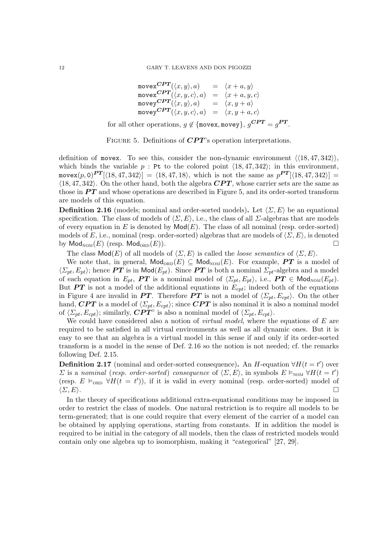$$
\begin{array}{rcl}\n\text{move}^{\text{CPT}}(\langle x, y \rangle, a) & = & \langle x + a, y \rangle \\
\text{move}^{\text{CPT}}(\langle x, y, c \rangle, a) & = & \langle x + a, y, c \rangle \\
\text{move}^{\text{CPT}}(\langle x, y \rangle, a) & = & \langle x, y + a \rangle \\
\text{move}^{\text{CPT}}(\langle x, y, c \rangle, a) & = & \langle x, y + a, c \rangle \\
\text{for all other operations, } g \notin \{\text{move}, \text{move}\}, g^{\text{CPT}} = g^{\text{PT}}.\n\end{array}
$$

FIGURE 5. Definitions of  $CPT$ 's operation interpretations.

definition of movex. To see this, consider the non-dynamic environment  $\langle \langle 18, 47, 342 \rangle \rangle$ , which binds the variable  $p$ : Pt to the colored point  $\langle 18, 47, 342 \rangle$ ; in this environment, movex $(p, 0)$ <sup>PT</sup> $[\langle 18, 47, 342 \rangle] = \langle 18, 47, 18 \rangle$ , which is not the same as  $p^{PT}[\langle 18, 47, 342 \rangle] =$  $\langle 18, 47, 342 \rangle$ . On the other hand, both the algebra  $CPT$ , whose carrier sets are the same as those in  $PT$  and whose operations are described in Figure 5, and its order-sorted transform are models of this equation.

**Definition 2.16** (models; nominal and order-sorted models). Let  $\langle \Sigma, E \rangle$  be an equational specification. The class of models of  $\langle \Sigma, E \rangle$ , i.e., the class of all  $\Sigma$ -algebras that are models of every equation in E is denoted by  $\mathsf{Mod}(E)$ . The class of all nominal (resp. order-sorted) models of E, i.e., nominal (resp. order-sorted) algebras that are models of  $\langle \Sigma, E \rangle$ , is denoted by  $\mathsf{Mod}_{\mathsf{NOM}}(E)$  (resp.  $\mathsf{Mod}_{\mathsf{ORD}}(E)$ ).

The class  $\textsf{Mod}(E)$  of all models of  $\langle \Sigma, E \rangle$  is called the *loose semantics* of  $\langle \Sigma, E \rangle$ .

We note that, in general,  $\mathsf{Mod}_{ORD}(E) \subseteq \mathsf{Mod}_{\mathrm{NOM}}(E)$ . For example, PT is a model of  $\langle \Sigma_{pt}, E_{pt} \rangle$ ; hence **PT** is in Mod( $E_{pt}$ ). Since **PT** is both a nominal  $\Sigma_{pt}$ -algebra and a model of each equation in  $E_{pt}$ , **PT** is a nominal model of  $\langle \Sigma_{pt}, E_{pt} \rangle$ , i.e., **PT**  $\in \mathsf{Mod}_{\mathsf{NOM}}(E_{pt})$ . But **PT** is not a model of the additional equations in  $E_{cpt}$ ; indeed both of the equations in Figure 4 are invalid in **PT**. Therefore **PT** is not a model of  $\langle \Sigma_{pt}, E_{cpt} \rangle$ . On the other hand, CPT is a model of  $\langle \Sigma_{pt}, E_{cpt} \rangle$ ; since CPT is also nominal it is also a nominal model of  $\langle \Sigma_{pt}, E_{cpt} \rangle$ ; similarly,  $\mathbf{CPT}^\circ$  is also a nominal model of  $\langle \Sigma_{pt}, E_{cpt} \rangle$ .

We could have considered also a notion of *virtual model*, where the equations of  $E$  are required to be satisfied in all virtual environments as well as all dynamic ones. But it is easy to see that an algebra is a virtual model in this sense if and only if its order-sorted transform is a model in the sense of Def. 2.16 so the notion is not needed; cf. the remarks following Def. 2.15.

**Definition 2.17** (nominal and order-sorted consequence). An H-equation  $\forall H(t = t')$  over  $\Sigma$  is a nominal (resp. order-sorted) consequence of  $\langle \Sigma, E \rangle$ , in symbols  $E \vDash_{\text{NOM}} \forall H(t = t')$ (resp.  $E \models_{ORD} \forall H(t = t')$ ), if it is valid in every nominal (resp. order-sorted) model of  $\langle \Sigma, E \rangle$ .

In the theory of specifications additional extra-equational conditions may be imposed in order to restrict the class of models. One natural restriction is to require all models to be term-generated; that is one could require that every element of the carrier of a model can be obtained by applying operations, starting from constants. If in addition the model is required to be initial in the category of all models, then the class of restricted models would contain only one algebra up to isomorphism, making it "categorical" [27, 29].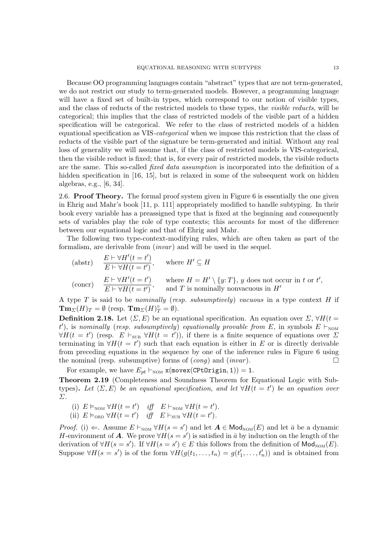Because OO programming languages contain "abstract" types that are not term-generated, we do not restrict our study to term-generated models. However, a programming language will have a fixed set of built-in types, which correspond to our notion of visible types, and the class of reducts of the restricted models to these types, the *visible reducts*, will be categorical; this implies that the class of restricted models of the visible part of a hidden specification will be categorical. We refer to the class of restricted models of a hidden equational specification as VIS-categorical when we impose this restriction that the class of reducts of the visible part of the signature be term-generated and initial. Without any real loss of generality we will assume that, if the class of restricted models is VIS-categorical, then the visible reduct is fixed; that is, for every pair of restricted models, the visible reducts are the same. This so-called fixed data assumption is incorporated into the definition of a hidden specification in [16, 15], but is relaxed in some of the subsequent work on hidden algebras, e.g., [6, 34].

2.6. Proof Theory. The formal proof system given in Figure 6 is essentially the one given in Ehrig and Mahr's book [11, p. 111] appropriately modified to handle subtyping. In their book every variable has a preassigned type that is fixed at the beginning and consequently sets of variables play the role of type contexts; this accounts for most of the difference between our equational logic and that of Ehrig and Mahr.

The following two type-context-modifying rules, which are often taken as part of the formalism, are derivable from  $(invar)$  and will be used in the sequel.

| (abstr) | \n $\frac{E \vdash \forall H'(t = t')}{E \vdash \forall H(t = t')}$ \n | where $H' \subseteq H$                                                                                          |
|---------|------------------------------------------------------------------------|-----------------------------------------------------------------------------------------------------------------|
| (concr) | \n $\frac{E \vdash \forall H'(t = t')}{E \vdash \forall H(t = t')}$ \n | where $H = H' \setminus \{y: T\}$ , $y$ does not occur in $t$ or $t'$ , and $T$ is nominally nonvacuous in $H'$ |

A type  $T$  is said to be *nominally (resp. subsumptively)* vacuous in a type context  $H$  if  $\mathbf{Tm}_{\Sigma}(H)_T = \emptyset$  (resp.  $\mathbf{Tm}_{\Sigma}(H)_T^{\circ} = \emptyset$ ).

**Definition 2.18.** Let  $\langle \Sigma, E \rangle$  be an equational specification. An equation over  $\Sigma$ ,  $\forall H(t =$ t'), is nominally (resp. subsumptively) equationally provable from E, in symbols  $E \vdash_{\text{NOM}}$  $\forall H(t = t')$  (resp.  $E \vdash_{\text{SUB}} \forall H(t = t')$ ), if there is a finite sequence of equations over  $\Sigma$ terminating in  $\forall H(t = t')$  such that each equation is either in E or is directly derivable from preceding equations in the sequence by one of the inference rules in Figure 6 using the nominal (resp. subsumptive) forms of  $(cong)$  and  $(invar)$ .

For example, we have  $E_{pt} \vdash_{\text{NOM}} x(\text{move}(CPLOriginal, 1)) = 1.$ 

Theorem 2.19 (Completeness and Soundness Theorem for Equational Logic with Subtypes). Let  $\langle \Sigma, E \rangle$  be an equational specification, and let  $\forall H(t = t')$  be an equation over Σ.

- (i)  $E \vDash_{\text{NOM}} \forall H(t = t')$  iff  $E \vdash_{\text{NOM}} \forall H(t = t').$
- (ii)  $E \vDash_{\text{ORD}} \forall H(t=t')$  iff  $E \vdash_{\text{SUB}} \forall H(t=t')$ .

*Proof.* (i)  $\Leftarrow$ . Assume  $E \vdash_{\text{NOM}} \forall H(s = s')$  and let  $\mathbf{A} \in \text{Mod}_{\text{NOM}}(E)$  and let  $\bar{a}$  be a dynamic H-environment of **A**. We prove  $\forall H(s=s')$  is satisfied in  $\bar{a}$  by induction on the length of the derivation of  $\forall H(s = s')$ . If  $\forall H(s = s') \in E$  this follows from the definition of  $\mathsf{Mod}_{\mathsf{NOM}}(E)$ . Suppose  $\forall H(s = s')$  is of the form  $\forall H(g(t_1, \ldots, t_n) = g(t'_1))$  $(t'_1, \ldots, t'_n)$  and is obtained from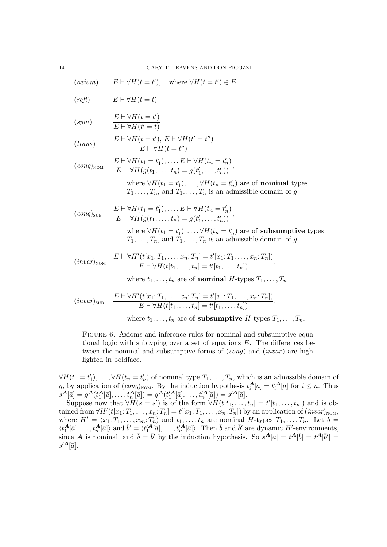$(\textit{axiom}) \quad E \vdash \forall H(t = t'), \text{ where } \forall H(t = t') \in E$  $\mathbf{r}$   $\mathbf{r}$   $\mathbf{r}$   $\mathbf{r}$   $\mathbf{r}$   $\mathbf{r}$ 

$$
(reft) \tE \vdash \forall H(t=t)
$$

$$
(sym) \qquad \qquad \frac{E\vdash \forall H(t=t')}{E\vdash \forall H(t'=t)}
$$

$$
(trans) \qquad \frac{E \vdash \forall H(t = t'), \ E \vdash \forall H(t' = t'')}{E \vdash \forall H(t = t'')}
$$

$$
(cong)_{\text{NOM}} \quad \frac{E \vdash \forall H(t_1 = t'_1), \dots, E \vdash \forall H(t_n = t'_n)}{E \vdash \forall H(g(t_1, \dots, t_n) = g(t'_1, \dots, t'_n))},
$$

where  $\forall H(t_1 = t_1)$  $\mathcal{H}_1), \ldots, \forall H(t_n = t'_n)$  $n'$  are of **nominal** types  $T_1, \ldots, T_n$ , and  $T_1, \ldots, T_n$  is an admissible domain of g

$$
(cong)_{\text{SUB}} \qquad \frac{E \vdash \forall H(t_1 = t'_1), \dots, E \vdash \forall H(t_n = t'_n)}{E \vdash \forall H(g(t_1, \dots, t_n) = g(t'_1, \dots, t'_n))},
$$

where  $\forall H(t_1 = t_1)$  $\mathcal{H}_1), \ldots, \forall H(t_n = t'_n)$  $n'$ <sub>n</sub>) are of **subsumptive** types  $T_1, \ldots, T_n$ , and  $\overline{T}_1, \ldots, \overline{T}_n$  is an admissible domain of g

$$
(invar)_{\text{NOM}} \quad \frac{E \vdash \forall H'(t[x_1: T_1, \ldots, x_n: T_n] = t'[x_1: T_1, \ldots, x_n: T_n])}{E \vdash \forall H(t[t_1, \ldots, t_n] = t'[t_1, \ldots, t_n])},
$$

where  $t_1, \ldots, t_n$  are of **nominal** H-types  $T_1, \ldots, T_n$ 

$$
(invar)_{\text{SUB}} \quad \frac{E \vdash \forall H'(t[x_1: T_1, \ldots, x_n: T_n] = t'[x_1: T_1, \ldots, x_n: T_n])}{E \vdash \forall H(t[t_1, \ldots, t_n] = t'[t_1, \ldots, t_n])},
$$

where  $t_1, \ldots, t_n$  are of subsumptive H-types  $T_1, \ldots, T_n$ .

FIGURE 6. Axioms and inference rules for nominal and subsumptive equational logic with subtyping over a set of equations  $E$ . The differences between the nominal and subsumptive forms of  $(cong)$  and  $(invar)$  are highlighted in boldface.

 $\forall H(t_1=t_1)$  $\mathcal{H}_1), \ldots, \forall H(t_n = t'_n)$  $n'$  of nominal type  $T_1, \ldots, T_n$ , which is an admissible domain of g, by application of  $(cong)_{\text{NOM}}$ . By the induction hypothesis  $t_i^{\mathbf{A}}[\bar{a}] = t_i'^{\mathbf{A}}[\bar{a}]$  for  $i \leq n$ . Thus  $s^{\hat{A}}[\bar{a}] = g^{\hat{A}}(t_1^{\hat{A}}[\bar{a}], \ldots, t_n^{\hat{A}}[\bar{a}]) = g^{\hat{A}}(t_1'^{\hat{A}}[\bar{a}], \ldots, t_n'^{\hat{A}}[\bar{a}]) = s'^{\hat{A}}[\bar{a}].$ 

Suppose now that  $\forall H(s=s')$  is of the form  $\forall H(t[t_1,\ldots,t_n] = t'[t_1,\ldots,t_n])$  and is obtained from  $\forall H' (t[x_1; T_1, \ldots, x_n; T_n] = t'[x_1; T_1, \ldots, x_n; T_n])$  by an application of  $(invar)_{\text{NOM}},$ where  $H' = \langle x_1: T_1, \ldots, x_m: T_n \rangle$  and  $t_1, \ldots, t_n$  are nominal H-types  $T_1, \ldots, T_n$ . Let  $\overline{b} =$  $\langle t_1^{\mathbf{A}}[\bar{a}], \ldots, t_n^{\mathbf{A}}[\bar{a}]\rangle$  and  $\bar{b}' = \langle t_1'^{\mathbf{A}}[\bar{a}], \ldots, t_n'^{\mathbf{A}}[\bar{a}]\rangle$ . Then  $\bar{b}$  and  $\bar{b}'$  are dynamic  $H'$ -environments, since **A** is nominal, and  $\bar{b} = \bar{b}'$  by the induction hypothesis. So  $s^A[\bar{a}] = t^A[\bar{b}] = t^A[\bar{b}'] =$  $s^{\prime A}[\bar{a}].$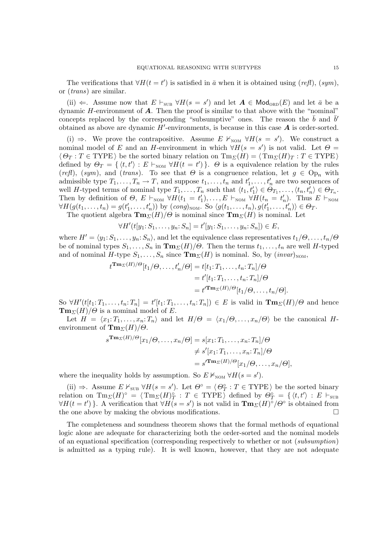The verifications that  $\forall H(t = t')$  is satisfied in  $\bar{a}$  when it is obtained using  $(reff)$ ,  $(sym)$ , or (trans) are similar.

(ii)  $\Leftarrow$ . Assume now that  $E \vdash_{\text{SUB}} \forall H(s = s')$  and let  $\mathbf{A} \in \mathsf{Mod}_{\text{ORD}}(E)$  and let  $\bar{a}$  be a dynamic  $H$ -environment of  $\bf{A}$ . Then the proof is similar to that above with the "nominal" concepts replaced by the corresponding "subsumptive" ones. The reason the  $\bar{b}$  and  $\bar{b}'$ obtained as above are dynamic  $H'$ -environments, is because in this case  $A$  is order-sorted.

(i)  $\Rightarrow$ . We prove the contrapositive. Assume E  $\nvDash_{\text{NOM}} \forall H(s = s')$ . We construct a nominal model of E and an H-environment in which  $\forall H(s = s')$  is not valid. Let  $\Theta =$  $\langle \Theta_T : T \in \text{TYPE} \rangle$  be the sorted binary relation on  $\text{Tw}_{\Sigma}(H) = \langle \text{Tw}_{\Sigma}(H)_T : T \in \text{TYPE} \rangle$ defined by  $\Theta_T = \{ \langle t, t' \rangle : E \vdash_{\text{NOM}} \forall H(t = t') \}.$   $\Theta$  is a equivalence relation by the rules (refl), (sym), and (trans). To see that  $\Theta$  is a congruence relation, let  $g \in \mathrm{Op}_n$  with admissible type  $T_1, \ldots, T_n \to T$ , and suppose  $t_1, \ldots, t_n$  and  $t_1$  $t'_1, \ldots, t'_n$  are two sequences of well H-typed terms of nominal type  $T_1, \ldots, T_n$  such that  $\langle t_1, t'_1 \rangle \in \mathcal{O}_{T_1}, \ldots, \langle t_n, t'_n \rangle \in \mathcal{O}_{T_n}$ . Then by definition of  $\Theta$ ,  $E \vdash_{\text{NOM}} \forall H(t_1 = t_1)$  $\sum_{1}^{n}$ ),...,  $E \vdash_{\text{NOM}} \forall H(t_n = t'_n)$  $n'$ ). Thus  $E \vdash_{\text{NOM}}$  $\forall H(g(t_1,\ldots,t_n)=g(t_1)$  $f_1, \ldots, t_n)$  by  $(cong)_{\text{NOM}}$ . So  $\langle g(t_1, \ldots, t_n), g(t) \rangle$  $\langle t'_1,\ldots,t'_n\rangle\rangle\in\Theta_T.$ 

The quotient algebra  $\mathbf{Tm}_{\Sigma}(H)/\Theta$  is nominal since  $\mathbf{Tm}_{\Sigma}(H)$  is nominal. Let

 $\forall H' (t[y_1: S_1, \ldots, y_n: S_n] = t'[y_1: S_1, \ldots, y_n: S_n]) \in E,$ 

where  $H' = \langle y_1: S_1, \ldots, y_n: S_n \rangle$ , and let the equivalence class representatives  $t_1/\Theta, \ldots, t_n/\Theta$ be of nominal types  $S_1, \ldots, S_n$  in  $\mathbf{Tm}_{\Sigma}(H)/\Theta$ . Then the terms  $t_1, \ldots, t_n$  are well H-typed and of nominal H-type  $S_1, \ldots, S_n$  since  $\mathbf{Tm}_{\Sigma}(H)$  is nominal. So, by  $(\textit{invar})_{\text{NOM}},$ 

$$
t^{\mathbf{Tm}_{\Sigma}(H)/\Theta}[t_1/\Theta,\ldots,t'_n/\Theta] = t[t_1;T_1,\ldots,t_n;T_n]/\Theta
$$
  
=  $t'[t_1;T_1,\ldots,t_n;T_n]/\Theta$   
=  $t'^{\mathbf{Tm}_{\Sigma}(H)/\Theta}[t_1/\Theta,\ldots,t_n/\Theta].$ 

So  $\forall H'(t[t_1: T_1, \ldots, t_n: T_n] = t'[t_1: T_1, \ldots, t_n: T_n]) \in E$  is valid in  $\text{Tr}_{\Sigma}(H)/\Theta$  and hence  $\mathbf{Tm}_{\Sigma}(H)/\Theta$  is a nominal model of E.

Let  $H = \langle x_1: T_1, \ldots, x_n: T_n \rangle$  and let  $H/\Theta = \langle x_1/\Theta, \ldots, x_n/\Theta \rangle$  be the canonical Henvironment of  $\mathbf{Tm}_{\Sigma}(H)/\Theta$ .

$$
s^{\mathbf{Tm}_{\Sigma}(H)/\Theta}[x_1/\Theta,\ldots,x_n/\Theta] = s[x_1;T_1,\ldots,x_n;T_n]/\Theta
$$
  
\n
$$
\neq s'[x_1;T_1,\ldots,x_n;T_n]/\Theta
$$
  
\n
$$
= s'^{\mathbf{Tm}_{\Sigma}(H)/\Theta}[x_1/\Theta,\ldots,x_n/\Theta],
$$

where the inequality holds by assumption. So  $E \nvDash_{\text{NOM}} \forall H(s = s')$ .

(ii)  $\Rightarrow$ . Assume  $E \nvDash_{\text{SUB}} \forall H(s = s')$ . Let  $\Theta^{\circ} = \langle \Theta^{\circ}_T : T \in \text{TYPE} \rangle$  be the sorted binary relation on  $\mathrm{Tm}_{\varSigma}(H)^\circ = \langle \mathrm{Tm}_{\varSigma}(H)_T^\circ \rangle$  $\overline{P}$  :  $T \in \text{TYPE} \rangle$  defined by  $\overline{\Theta}^{\circ}_{T} = \{ \langle t, t' \rangle : E \vdash_{\text{SUB}} \}$  $\forall H(t=t')$ . A verification that  $\forall H(s=s')$  is not valid in  $\mathbf{Tm}_{\Sigma}(H)^{\circ}/\Theta^{\circ}$  is obtained from the one above by making the obvious modifications.  $\Box$ 

The completeness and soundness theorem shows that the formal methods of equational logic alone are adequate for characterizing both the order-sorted and the nominal models of an equational specification (corresponding respectively to whether or not (subsumption) is admitted as a typing rule). It is well known, however, that they are not adequate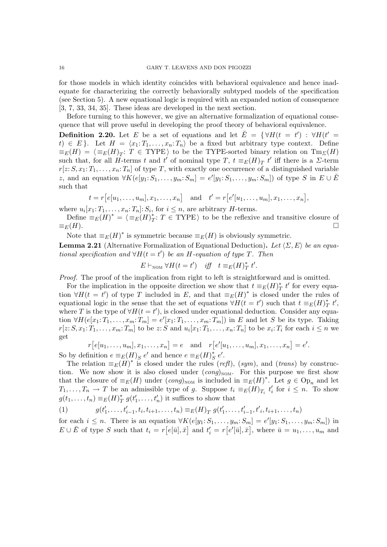for those models in which identity coincides with behavioral equivalence and hence inadequate for characterizing the correctly behaviorally subtyped models of the specification (see Section 5). A new equational logic is required with an expanded notion of consequence [3, 7, 33, 34, 35]. These ideas are developed in the next section.

Before turning to this however, we give an alternative formalization of equational consequence that will prove useful in developing the proof theory of behavioral equivalence.

**Definition 2.20.** Let E be a set of equations and let  $\check{E} = \{ \forall H(t = t') : \forall H(t' = t') \}$ t)  $\in E$ . Let  $H = \langle x_1: T_1, \ldots, x_n: T_n \rangle$  be a fixed but arbitrary type context. Define  $\equiv_E(H) = \langle \equiv_E(H)_T : T \in \text{TYPE} \rangle$  to be the TYPE-sorted binary relation on  $\text{Tw}_{\Sigma}(H)$ such that, for all H-terms t and t' of nominal type T,  $t \equiv_E(H)_T t'$  iff there is a  $\Sigma$ -term  $r[z: S, x_1: T_1, \ldots, x_n: T_n]$  of type T, with exactly one occurrence of a distinguished variable z, and an equation  $\forall K(e[y_1: S_1, \ldots, y_m: S_m] = e'[y_1: S_1, \ldots, y_m: S_m])$  of type S in  $E \cup E'$ such that

$$
t = r[e[u_1, ..., u_m], x_1, ..., x_n]
$$
 and  $t' = r[e'[u_1, ..., u_m], x_1, ..., x_n],$ 

where  $u_i[x_1: T_1, \ldots, x_n: T_n]: S_i$ , for  $i \leq n$ , are arbitrary *H*-terms.

Define  $\equiv_E(H)^* = \langle \equiv_E(H)^*_1 \rangle$ <sup>\*</sup><sub>T</sub>:  $T \in \text{TYPE}$  to be the reflexive and transitive closure of  $\equiv_E(H)$ .

Note that  $\equiv_E(H)^*$  is symmetric because  $\equiv_E(H)$  is obviously symmetric.

**Lemma 2.21** (Alternative Formalization of Equational Deduction). Let  $\langle \Sigma, E \rangle$  be an equational specification and  $\forall H(t=t')$  be an H-equation of type T. Then

$$
E \vdash_{\text{NOM}} \forall H(t = t') \quad \text{iff} \quad t \equiv_E(H)^*_{T} t'.
$$

Proof. The proof of the implication from right to left is straightforward and is omitted.

For the implication in the opposite direction we show that  $t \equiv_E(H)_I^*$  $_{T}^{*}$  *t'* for every equation  $\forall H(t = t')$  of type T included in E, and that  $\equiv_E(H)^*$  is closed under the rules of equational logic in the sense that the set of equations  $\forall H(t = t')$  such that  $t \equiv_E(H)_T^*$  $_{T}^{\ast}$  t', where T is the type of  $\forall H(t=t')$ , is closed under equational deduction. Consider any equation  $\forall H(e[x_1: T_1, \ldots, x_m: T_m] = e'[x_1: T_1, \ldots, x_m: T_m])$  in E and let S be its type. Taking  $r[z: S, x_1: T_1, \ldots, x_m: T_m]$  to be  $z: S$  and  $u_i[x_1: T_1, \ldots, x_n: T_n]$  to be  $x_i: T_i$  for each  $i \leq n$  we get

$$
r[e[u_1, \ldots, u_m], x_1, \ldots, x_n] = e \text{ and } r[e'[u_1, \ldots, u_m], x_1, \ldots, x_n] = e'.
$$
  
So by definition  $e \equiv_E(H)_S e'$  and hence  $e \equiv_E(H)_S^* e'$ .

The relation  $\equiv_E(H)^*$  is closed under the rules (*refl*), (*sym*), and (*trans*) by construction. We now show it is also closed under  $(cong)_{\text{NOM}}$ . For this purpose we first show that the closure of  $\equiv_E(H)$  under  $(cong)_{\text{NOM}}$  is included in  $\equiv_E(H)^*$ . Let  $g \in \text{Op}_n$  and let  $T_1, \ldots, T_n \to T$  be an admissible type of g. Suppose  $t_i \equiv_E(H)_{T_i} t_i$  $i \leq n$ . To show  $g(t_1,\ldots,t_n)\equiv_E(H)_T^*$  $_{T}^{*}$   $g(t)$  $t'_1, \ldots, t'_n$  it suffices to show that

(1) 
$$
g(t'_1,\ldots,t'_{i-1},t_i,t_{i+1},\ldots,t_n) \equiv_E(H)_T g(t'_1,\ldots,t'_{i-1},t'_i,t_{i+1},\ldots,t_n)
$$

for each  $i \leq n$ . There is an equation  $\forall K(e[y_1: S_1, \ldots, y_m: S_m] = e'[y_1: S_1, \ldots, y_m: S_m])$  in  $E \cup \breve{E}$  of type S such that  $t_i = r[e[\bar{u}], \bar{x}]$  and  $t'_i = r[e'[\bar{u}], \bar{x}]$ , where  $\bar{u} = u_1, \ldots, u_m$  and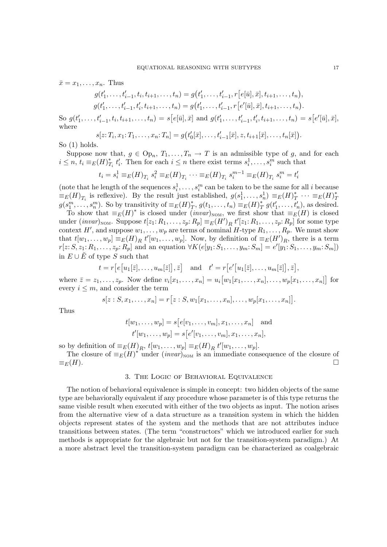$$
\bar{x} = x_1, \dots, x_n.
$$
 Thus

$$
g(t'_1,\ldots,t'_{i-1},t_i,t_{i+1},\ldots,t_n) = g(t'_1,\ldots,t'_{i-1},r[e[\bar{u}],\bar{x}],t_{i+1},\ldots,t_n),
$$
  

$$
g(t'_1,\ldots,t'_{i-1},t'_i,t_{i+1},\ldots,t_n) = g(t'_1,\ldots,t'_{i-1},r[e'[\bar{u}],\bar{x}],t_{i+1},\ldots,t_n).
$$

So  $g(t)$  $t'_{1}, \ldots, t'_{i-1}, t_{i}, t_{i+1}, \ldots, t_{n}) = s[e[\bar{u}], \bar{x}] \text{ and } g(t')$  $t'_{i_1}, \ldots, t'_{i-1}, t'_{i_1}, t_{i+1}, \ldots, t_n) = s[e'[{\bar u}], {\bar x}],$ where

$$
s[z; T_i, x_1; T_1, \dots, x_n; T_n] = g(t'_0[\bar{x}], \dots, t'_{i-1}[\bar{x}], z, t_{i+1}[\bar{x}], \dots, t_n[\bar{x}]).
$$
  
holds

So  $(1)$ 

Suppose now that,  $g \in \text{Op}_n$ ,  $T_1, \ldots, T_n \to T$  is an admissible type of g, and for each  $i \leq n, t_i \equiv_E(H)_T^*$  $_{T_i}^*$   $t_i'$ '<sub>i</sub>. Then for each  $i \leq n$  there exist terms  $s_i^1, \ldots, s_i^m$  such that

$$
t_i = s_i^1 \equiv_E(H)_{T_i} s_i^2 \equiv_E(H)_{T_i} \cdots \equiv_E(H)_{T_i} s_i^{m-1} \equiv_E(H)_{T_i} s_i^m = t_i'
$$

(note that he length of the sequences  $s_i^1, \ldots, s_i^m$  can be taken to be the same for all *i* because  $\equiv_E(H)_{T_i}$  is reflexive). By the result just established,  $g(s_1^1, \ldots, s_n^1) \equiv_E(H)_{T}^* \cdots \equiv_E(H)_{T}^*$  $g(s_1^m, \ldots, s_n^m)$ . So by transitivity of  $\equiv_E(H)_1^*$  $f(T, g(t_1, \ldots, t_n) \equiv_E(H))^*_{T}$  $\int_T^* g(t)$  $t'_1, \ldots, t'_n$ , as desired.

To show that  $\equiv_E(H)^*$  is closed under  $(invar)_{\text{NOM}}$ , we first show that  $\equiv_E(H)$  is closed under  $(invar)_{\text{NOM}}$ . Suppose  $t[z_1:R_1,\ldots,z_p:R_p] \equiv_E(H')_R t'[z_1:R_1,\ldots,z_p:R_p]$  for some type context H', and suppose  $w_1, \ldots, w_p$  are terms of nominal H-type  $R_1, \ldots, R_p$ . We must show that  $t[w_1, \ldots, w_p] \equiv_E(H)_R t'[w_1, \ldots, w_p]$ . Now, by definition of  $\equiv_E(H')_R$ , there is a term  $r[z: S, z_1: R_1, \ldots, z_p: R_p]$  and an equation  $\forall K(e[y_1: S_1, \ldots, y_m: S_m] = e'[y_1: S_1, \ldots, y_m: S_m])$ in  $E \cup \tilde{E}$  of type S such that

$$
t = r[e[u_1[\overline{z}],...,u_m[\overline{z}]], \overline{z}]
$$
 and  $t' = r[e'[u_1[\overline{z}],...,u_m[\overline{z}]], \overline{z}],$ 

where  $\bar{z} = z_1, \ldots, z_p$ . Now define  $v_i[x_1, \ldots, x_n] = u_i\big[w_1[x_1, \ldots, x_n], \ldots, w_p[x_1, \ldots, x_n]\big]$  for every  $i \leq m$ , and consider the term

$$
s[z: S, x_1, \ldots, x_n] = r[z: S, w_1[x_1, \ldots, x_n], \ldots, w_p[x_1, \ldots, x_n]].
$$

Thus

$$
t[w_1, ..., w_p] = s[e[v_1, ..., v_m], x_1, ..., x_n]
$$
 and  
\n $t'[w_1, ..., w_p] = s[e'[v_1, ..., v_m], x_1, ..., x_n],$ 

so by definition of  $\equiv_E(H)_R$ ,  $t[w_1, \ldots, w_p] \equiv_E(H)_R t'[w_1, \ldots, w_p]$ .

The closure of  $\equiv_E(H)^*$  under  $(invar)_{\text{NOM}}$  is an immediate consequence of the closure of  $\equiv_E(H)$ .

#### 3. The Logic of Behavioral Equivalence

The notion of behavioral equivalence is simple in concept: two hidden objects of the same type are behaviorally equivalent if any procedure whose parameter is of this type returns the same visible result when executed with either of the two objects as input. The notion arises from the alternative view of a data structure as a transition system in which the hidden objects represent states of the system and the methods that are not attributes induce transitions between states. (The term "constructors" which we introduced earlier for such methods is appropriate for the algebraic but not for the transition-system paradigm.) At a more abstract level the transition-system paradigm can be characterized as coalgebraic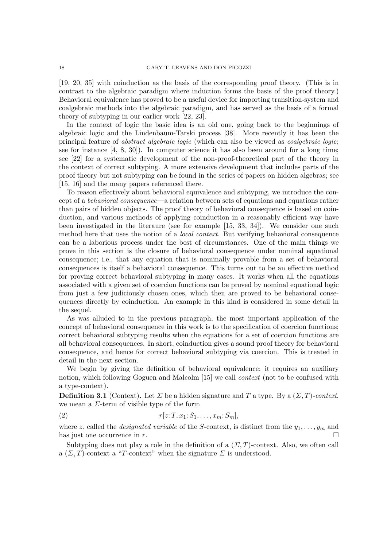[19, 20, 35] with coinduction as the basis of the corresponding proof theory. (This is in contrast to the algebraic paradigm where induction forms the basis of the proof theory.) Behavioral equivalence has proved to be a useful device for importing transition-system and coalgebraic methods into the algebraic paradigm, and has served as the basis of a formal theory of subtyping in our earlier work [22, 23].

In the context of logic the basic idea is an old one, going back to the beginnings of algebraic logic and the Lindenbaum-Tarski process [38]. More recently it has been the principal feature of abstract algebraic logic (which can also be viewed as coalgebraic logic; see for instance [4, 8, 30]). In computer science it has also been around for a long time; see [22] for a systematic development of the non-proof-theoretical part of the theory in the context of correct subtyping. A more extensive development that includes parts of the proof theory but not subtyping can be found in the series of papers on hidden algebras; see [15, 16] and the many papers referenced there.

To reason effectively about behavioral equivalence and subtyping, we introduce the concept of a behavioral consequence—a relation between sets of equations and equations rather than pairs of hidden objects. The proof theory of behavioral consequence is based on coinduction, and various methods of applying coinduction in a reasonably efficient way have been investigated in the literaure (see for example [15, 33, 34]). We consider one such method here that uses the notion of a *local context*. But verifying behavioral consequence can be a laborious process under the best of circumstances. One of the main things we prove in this section is the closure of behavioral consequence under nominal equational consequence; i.e., that any equation that is nominally provable from a set of behavioral consequences is itself a behavioral consequence. This turns out to be an effective method for proving correct behavioral subtyping in many cases. It works when all the equations associated with a given set of coercion functions can be proved by nominal equational logic from just a few judiciously chosen ones, which then are proved to be behavioral consequences directly by coinduction. An example in this kind is considered in some detail in the sequel.

As was alluded to in the previous paragraph, the most important application of the concept of behavioral consequence in this work is to the specification of coercion functions; correct behavioral subtyping results when the equations for a set of coercion functions are all behavioral consequences. In short, coinduction gives a sound proof theory for behavioral consequence, and hence for correct behavioral subtyping via coercion. This is treated in detail in the next section.

We begin by giving the definition of behavioral equivalence; it requires an auxiliary notion, which following Goguen and Malcolm [15] we call *context* (not to be confused with a type-context).

**Definition 3.1** (Context). Let  $\Sigma$  be a hidden signature and T a type. By a  $(\Sigma, T)$ -context, we mean a  $\Sigma$ -term of visible type of the form

(2) r[z: T, x1: S1, . . . , xm: Sm],

where z, called the *designated variable* of the S-context, is distinct from the  $y_1, \ldots, y_m$  and has just one occurrence in r.

Subtyping does not play a role in the definition of a  $(\Sigma, T)$ -context. Also, we often call a  $(\Sigma, T)$ -context a "T-context" when the signature  $\Sigma$  is understood.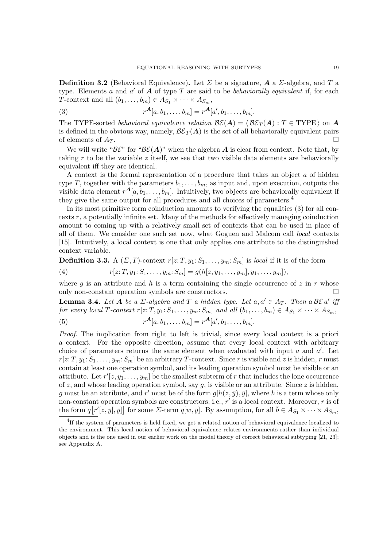**Definition 3.2** (Behavioral Equivalence). Let  $\Sigma$  be a signature,  $\mathbf{A}$  a  $\Sigma$ -algebra, and  $T$  a type. Elements  $\alpha$  and  $\alpha'$  of  $\overline{A}$  of type  $\overline{T}$  are said to be *behaviorally equivalent* if, for each T-context and all  $(b_1, \ldots, b_m) \in A_{S_1} \times \cdots \times A_{S_m}$ ,

(3) 
$$
r^{\mathbf{A}}[a, b_1, \dots, b_m] = r^{\mathbf{A}}[a', b_1, \dots, b_m].
$$

The TYPE-sorted behavioral equivalence relation  $\mathcal{BE}(A) = \langle \mathcal{BE}_T (A) : T \in \text{TYPE} \rangle$  on A is defined in the obvious way, namely,  $\mathcal{B}\mathcal{E}_T(A)$  is the set of all behaviorally equivalent pairs of elements of  $A_T$ .

We will write " $\mathcal{BE}$ " for " $\mathcal{BE}(A)$ " when the algebra A is clear from context. Note that, by taking r to be the variable z itself, we see that two visible data elements are behaviorally equivalent iff they are identical.

A context is the formal representation of a procedure that takes an object a of hidden type T, together with the parameters  $b_1, \ldots, b_m$ , as input and, upon execution, outputs the visible data element  $r^{A}[a, b_1, \ldots, b_m]$ . Intuitively, two objects are behaviorally equivalent if they give the same output for all procedures and all choices of parameters.<sup>4</sup>

In its most primitive form coinduction amounts to verifying the equalities (3) for all contexts r, a potentially infinite set. Many of the methods for effectively managing coinduction amount to coming up with a relatively small set of contexts that can be used in place of all of them. We consider one such set now, what Goguen and Malcom call local contexts [15]. Intuitively, a local context is one that only applies one attribute to the distinguished context variable.

**Definition 3.3.** A  $(\Sigma, T)$ -context  $r[z: T, y_1: S_1, \ldots, y_m: S_m]$  is local if it is of the form

(4) 
$$
r[z;T,y_1;S_1,\ldots,y_m;S_m] = g(h[z,y_1,\ldots,y_m],y_1,\ldots,y_m]),
$$

where q is an attribute and h is a term containing the single occurrence of z in r whose only non-constant operation symbols are constructors.

**Lemma 3.4.** Let A be a  $\Sigma$ -algebra and T a hidden type. Let  $a, a' \in A_T$ . Then a BE a' if for every local T-context  $r[z: T, y_1: S_1, \ldots, y_m: S_m]$  and all  $(b_1, \ldots, b_m) \in A_{S_1} \times \cdots \times A_{S_m}$ ,

(5) 
$$
r^{\mathbf{A}}[a, b_1, \dots, b_m] = r^{\mathbf{A}}[a', b_1, \dots, b_m].
$$

Proof. The implication from right to left is trivial, since every local context is a priori a context. For the opposite direction, assume that every local context with arbitrary choice of parameters returns the same element when evaluated with input  $a$  and  $a'$ . Let  $r[z: T, y_1: S_1, \ldots, y_m: S_m]$  be an arbitrary T-context. Since r is visible and z is hidden, r must contain at least one operation symbol, and its leading operation symbol must be visible or an attribute. Let  $r'[z, y_1, \ldots, y_m]$  be the smallest subterm of r that includes the lone occurrence of z, and whose leading operation symbol, say  $g$ , is visible or an attribute. Since z is hidden, g must be an attribute, and r' must be of the form  $g[h(z, \bar{y}), \bar{y}]$ , where h is a term whose only non-constant operation symbols are constructors; i.e.,  $r'$  is a local context. Moreover, r is of the form  $q[r'[z, \bar{y}], \bar{y}]$  for some  $\Sigma$ -term  $q[w, \bar{y}]$ . By assumption, for all  $\bar{b} \in A_{S_1} \times \cdots \times A_{S_m}$ ,

<sup>&</sup>lt;sup>4</sup>If the system of parameters is held fixed, we get a related notion of behavioral equivalence localized to the environment. This local notion of behavioral equivalence relates environments rather than individual objects and is the one used in our earlier work on the model theory of correct behavioral subtyping [21, 23]; see Appendix A.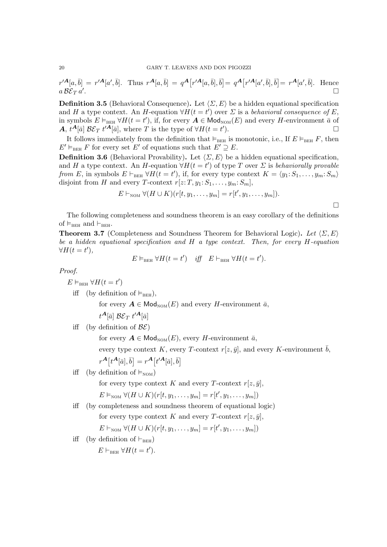$$
r'^{\mathbf{A}}[a,\overline{b}] = r'^{\mathbf{A}}[a',\overline{b}]. \text{ Thus } r^{\mathbf{A}}[a,\overline{b}] = q^{\mathbf{A}}[r'^{\mathbf{A}}[a,\overline{b}],\overline{b}] = q^{\mathbf{A}}[r'^{\mathbf{A}}[a',\overline{b}],\overline{b}] = r^{\mathbf{A}}[a',\overline{b}]. \text{ Hence } a\ \mathcal{B}\mathcal{E}_T a'.
$$

**Definition 3.5** (Behavioral Consequence). Let  $\langle \Sigma, E \rangle$  be a hidden equational specification and H a type context. An H-equation  $\forall H(t=t')$  over  $\Sigma$  is a behavioral consequence of E, in symbols  $E \vDash_{BEH} \forall H(t=t')$ , if, for every  $\mathbf{A} \in \mathsf{Mod}_{NOM}(E)$  and every H-environment  $\overline{a}$  of A,  $t^{\mathcal{A}}[\bar{a}]$   $\mathcal{BE}_T t'^{\mathcal{A}}[\bar{a}]$ , where T is the type of  $\forall H(t=t')$ ).  $\qquad \qquad \Box$ 

It follows immediately from the definition that  $\models_{\text{BEH}}$  is monotonic, i.e., If  $E \models_{\text{BEH}} F$ , then  $E' \vDash_{\text{BEH}} F$  for every set E' of equations such that  $E' \supseteq E$ .

**Definition 3.6** (Behavioral Provability). Let  $\langle \Sigma, E \rangle$  be a hidden equational specification, and H a type context. An H-equation  $\forall H(t=t')$  of type T over  $\Sigma$  is behaviorally provable from E, in symbols  $E \vdash_{BEH} \forall H(t = t')$ , if, for every type context  $K = \langle y_1 : S_1, \ldots, y_m : S_m \rangle$ disjoint from H and every T-context  $r[z: T, y_1: S_1, \ldots, y_m: S_m]$ ,

$$
E\vdash_{\text{NOM}}\forall (H\cup K)(r[t,y_1,\ldots,y_m]=r[t',y_1,\ldots,y_m]).
$$

 $\Box$ 

The following completeness and soundness theorem is an easy corollary of the definitions of  $\vDash_{\text{BEH}}$  and  $\vDash_{\text{BEH}}$ .

**Theorem 3.7** (Completeness and Soundness Theorem for Behavioral Logic). Let  $\langle \Sigma, E \rangle$ be a hidden equational specification and  $H$  a type context. Then, for every  $H$ -equation  $\forall H(t=t'),$ 

 $E \vDash_{\text{BEH}} \forall H(t = t') \quad \text{iff} \quad E \vdash_{\text{BEH}} \forall H(t = t').$ 

Proof.

 $E \vDash_{\text{BEH}} \forall H(t=t')$ 

iff (by definition of  $\vDash_{BEH}$ ),

for every  $A \in Mod_{\text{NOM}}(E)$  and every H-environment  $\bar{a}$ ,

$$
t^{\boldsymbol{A}}[\bar a] \mathrel{\mathcal{B}\mathcal{E}_T} t'^{\boldsymbol{A}}[\bar a]
$$

iff (by definition of  $\mathcal{BE}$ )

for every  $\mathbf{A} \in \mathsf{Mod}_{\mathrm{NOM}}(E)$ , every H-environment  $\bar{a}$ ,

every type context K, every T-context  $r[z, \bar{y}]$ , and every K-environment  $\bar{b}$ ,

$$
r^{\mathbf{A}}[t^{\mathbf{A}}[\bar{a}], \bar{b}] = r^{\mathbf{A}}[t'^{\mathbf{A}}[\bar{a}], \bar{b}]
$$

iff (by definition of  $\vDash_{\text{NOM}}$ )

for every type context K and every T-context  $r[z, \bar{y}]$ ,

$$
E \vDash_{\text{NOM}} \forall (H \cup K)(r[t, y_1, \ldots, y_m] = r[t', y_1, \ldots, y_m])
$$

iff (by completeness and soundness theorem of equational logic)

for every type context K and every T-context  $r[z, \bar{y}]$ ,

 $E \vdash_{\text{NOM}} \forall (H \cup K)(r[t, y_1, \ldots, y_m] = r[t', y_1, \ldots, y_m])$ 

iff (by definition of  $\vdash_{\text{BEH}}$ )

 $E \vdash_{\text{BEH}} \forall H(t = t').$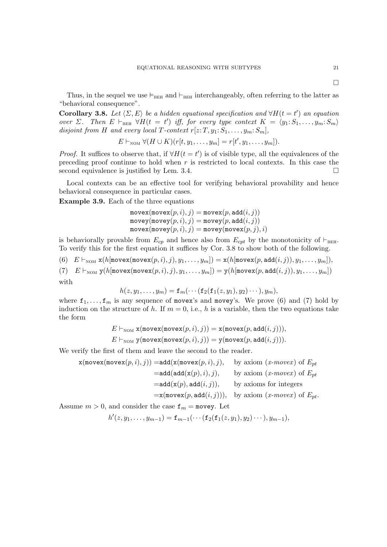$\Box$ 

Thus, in the sequel we use  $\models_{BEH}$  and  $\models_{BEH}$  interchangeably, often referring to the latter as "behavioral consequence".

Corollary 3.8. Let  $\langle \Sigma, E \rangle$  be a hidden equational specification and  $\forall H(t = t')$  an equation over  $\Sigma$ . Then  $E \vdash_{BEH} \forall H(t = t')$  iff, for every type context  $K = \langle y_1: S_1, \ldots, y_m: S_m \rangle$ disjoint from H and every local T-context  $r[z: T, y_1: S_1, \ldots, y_m: S_m]$ ,

$$
E\vdash_{\text{NOM}}\forall (H\cup K)(r[t,y_1,\ldots,y_m]=r[t',y_1,\ldots,y_m]).
$$

*Proof.* It suffices to observe that, if  $\forall H(t = t')$  is of visible type, all the equivalences of the preceding proof continue to hold when  $r$  is restricted to local contexts. In this case the second equivalence is justified by Lem. 3.4.  $\Box$ 

Local contexts can be an effective tool for verifying behavioral provability and hence behavioral consequence in particular cases.

Example 3.9. Each of the three equations

$$
\begin{array}{l} \texttt{move}( \texttt{move}(p, i), j) = \texttt{move}(p, \texttt{add}(i, j)) \\ \texttt{move}( \texttt{move}(p, i), j) = \texttt{move}(p, \texttt{add}(i, j)) \\ \texttt{move}( \texttt{move}(p, i), j) = \texttt{move}( \texttt{move}(p, j), i) \end{array}
$$

is behaviorally provable from  $E_{cp}$  and hence also from  $E_{cpt}$  by the monotonicity of  $\vdash_{\text{BEH}}$ . To verify this for the first equation it suffices by Cor. 3.8 to show both of the following.

(6)  $E \vdash_{\text{NOM}} x(h[\text{move}(p, i), j), y_1, \ldots, y_m]) = x(h[\text{move}(p, \text{add}(i, j)), y_1, \ldots, y_m]),$ 

(7)  $E \vdash_{\text{NOM}} \mathsf{y}(h[\text{move}(p, i), j), y_1, \ldots, y_m]) = \mathsf{y}(h[\text{move}(p, \text{add}(i, j)), y_1, \ldots, y_m])$ with

$$
h(z,y_1,\ldots,y_m)=\mathbf{f}_m(\cdots(\mathbf{f}_2(\mathbf{f}_1(z,y_1),y_2)\cdots),y_m),
$$

where  $f_1, \ldots, f_m$  is any sequence of movex's and movey's. We prove (6) and (7) hold by induction on the structure of h. If  $m = 0$ , i.e., h is a variable, then the two equations take the form

$$
E\vdash_{\text{NOM}}\mathbf{x}(\texttt{movex}(\texttt{movex}(p,i),j)) = \mathbf{x}(\texttt{movex}(p,\texttt{add}(i,j))),
$$

 $E \vdash_{\text{NOM}}$  y(movex(movex $(p, i), j$ )) = y(movex $(p, \text{add}(i, j))).$ 

We verify the first of them and leave the second to the reader.

$$
\mathbf{x}(\text{move}\mathbf{x}(\text{move}\mathbf{x}(p,i),j)) = \text{add}(\mathbf{x}(\text{move}\mathbf{x}(p,i),j), \text{ by axiom } (x\text{-move}x) \text{ of } E_{pt}
$$
\n
$$
= \text{add}(\text{add}(\mathbf{x}(p),i),j), \text{ by axiom } (x\text{-move}x) \text{ of } E_{pt}
$$
\n
$$
= \text{add}(\mathbf{x}(p), \text{add}(i,j)), \text{ by axioms for integers}
$$

 $=\mathbf{x}(\text{move}(p, \text{add}(i, j))), \text{ by axiom } (x\text{-}move x) \text{ of } E_{pt}.$ 

Assume  $m > 0$ , and consider the case  $f_m = \text{move}$ . Let

$$
h'(z, y_1, \ldots, y_{m-1}) = \mathbf{f}_{m-1}(\cdots (\mathbf{f}_2(\mathbf{f}_1(z, y_1), y_2) \cdots), y_{m-1}),
$$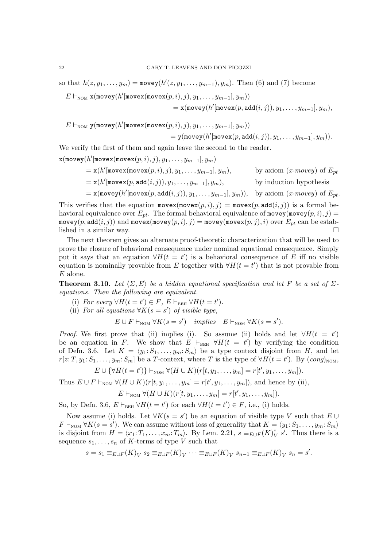so that  $h(z, y_1, \ldots, y_m) = \text{move}(h'(z, y_1, \ldots, y_{m-1}), y_m)$ . Then (6) and (7) become

$$
E \vdash_{\text{NOM}} x(\text{move}(h'[\text{move}(m \text{move}(p, i), j), y_1, \ldots, y_{m-1}], y_m))
$$
  
=  $x(\text{move}(h'[\text{move}(p, \text{add}(i, j)), y_1, \ldots, y_{m-1}], y_m),$ 

 $E\vdash_{\text{NOM}}\texttt{y}(\texttt{move}(h'[\texttt{move}(m \texttt{ovex}(p, i), j), y_1, \dots, y_{m-1}], y_m))$ 

$$
= \mathsf{y}(\mathtt{movey}(h'[\mathtt{movex}(p,\mathtt{add}(i,j)),y_1,\ldots,y_{m-1}],y_m)).
$$

We verify the first of them and again leave the second to the reader.

 $\mathbf{x}(\texttt{move}(h'[\texttt{move}( \texttt{move}(p, i), j), y_1, \dots, y_{m-1}], y_m))$ 

$$
= x(h'[\text{move}(m \text{move}(p, i), j), y_1, \dots, y_{m-1}], y_m), \qquad \text{by axiom } (x \text{-}move y) \text{ of } E_{pt}
$$

$$
= x(h'[\text{move}(p, \text{add}(i, j)), y_1, \dots, y_{m-1}], y_m), \qquad \text{by induction hypothesis}
$$

$$
= x(\text{move}(h'[\text{move}(p, \text{add}(i, j)), y_1, \ldots, y_{m-1}], y_m)), \text{ by axiom } (x\text{-move}y) \text{ of } E_{pt}.
$$

This verifies that the equation  $move(x, i), j) = move(x, add(i, j))$  is a formal behavioral equivalence over  $E_{pt}$ . The formal behavioral equivalence of movey(movey $(p, i), j$ ) = movey(p, add $(i, j)$ ) and movex(movey(p, i), j) = movey(movex(p, j), i) over  $E_{pt}$  can be established in a similar way.

The next theorem gives an alternate proof-theoretic characterization that will be used to prove the closure of behavioral consequence under nominal equational consequence. Simply put it says that an equation  $\forall H(t = t')$  is a behavioral consequence of E iff no visible equation is nominally provable from E together with  $\forall H(t=t')$  that is not provable from  $E$  alone.

**Theorem 3.10.** Let  $\langle \Sigma, E \rangle$  be a hidden equational specification and let F be a set of  $\Sigma$ equations. Then the following are equivalent.

- (i) For every  $\forall H(t=t') \in F$ ,  $E \vdash_{BEH} \forall H(t=t')$ .
- (ii) For all equations  $\forall K(s=s')$  of visible type,

$$
E \cup F \vdash_{\text{NOM}} \forall K(s = s') \quad implies \quad E \vdash_{\text{NOM}} \forall K(s = s').
$$

*Proof.* We first prove that (ii) implies (i). So assume (ii) holds and let  $\forall H(t = t')$ be an equation in F. We show that  $E \vdash_{BEH} \forall H(t = t')$  by verifying the condition of Defn. 3.6. Let  $K = \langle y_1: S_1, \ldots, y_m: S_m \rangle$  be a type context disjoint from H, and let  $r[z;T,y_1;S_1,\ldots,y_m;S_m]$  be a T-context, where T is the type of  $\forall H(t=t')$ . By  $(cong)_{\text{NOM}},$ 

$$
E \cup {\forall H(t=t')} \vdash_{\text{NOM}} \forall (H \cup K)(r[t, y_1, \ldots, y_m] = r[t', y_1, \ldots, y_m]).
$$

Thus  $E \cup F \vdash_{\text{NOM}} \forall (H \cup K)(r[t, y_1, \ldots, y_m] = r[t', y_1, \ldots, y_m]),$  and hence by (ii),

$$
E\vdash_{\text{NOM}}\forall (H\cup K)(r[t,y_1,\ldots,y_m]=r[t',y_1,\ldots,y_m]).
$$

So, by Defn. 3.6,  $E \vdash_{BEH} \forall H(t = t')$  for each  $\forall H(t = t') \in F$ , i.e., (i) holds.

Now assume (i) holds. Let  $\forall K(s = s')$  be an equation of visible type V such that  $E \cup$  $F \vdash_{\text{NOM}} \forall K(s = s')$ . We can assume without loss of generality that  $K = \langle y_1: S_1, \ldots, y_m: S_m \rangle$ is disjoint from  $H = \langle x_1 : T_1, \ldots, x_m : T_m \rangle$ . By Lem. 2.21,  $s \equiv_{E \cup F} (K)_V^*$  $\int_V^* s'$ . Thus there is a sequence  $s_1, \ldots, s_n$  of K-terms of type V such that

$$
s = s_1 \equiv_{E \cup F}(K)_V \ s_2 \equiv_{E \cup F}(K)_V \ \cdots \equiv_{E \cup F}(K)_V \ s_{n-1} \equiv_{E \cup F}(K)_V \ s_n = s'.
$$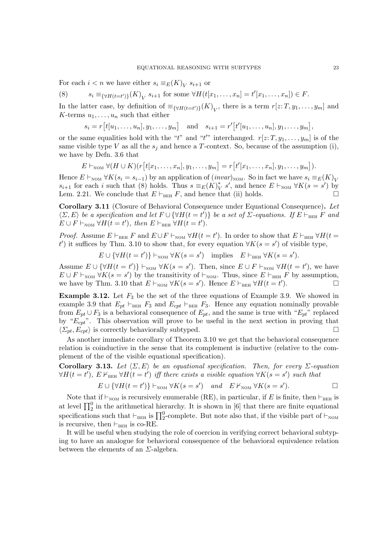For each  $i < n$  we have either  $s_i \equiv_E (K)_V s_{i+1}$  or

(8) 
$$
s_i \equiv_{\{\forall H(t=t')\}} (K)_V s_{i+1}
$$
 for some  $\forall H(t[x_1,...,x_n] = t'[x_1,...,x_n]) \in F$ .

In the latter case, by definition of  $\equiv_{\{\forall H(t=t')\}} (K)_V$ , there is a term  $r[z; T, y_1, \ldots, y_m]$  and K-terms  $u_1, \ldots, u_n$  such that either

 $s_i = r[t[u_1, \ldots, u_n], y_1, \ldots, y_m]$  and  $s_{i+1} = r'[t'[u_1, \ldots, u_n], y_1, \ldots, y_m]$ ,

or the same equalities hold with the "t" and "t" interchanged.  $r[z: T, y_1, \ldots, y_m]$  is of the same visible type V as all the  $s_i$  and hence a T-context. So, because of the assumption (i), we have by Defn. 3.6 that

$$
E\vdash_{\text{NOM}}\forall (H\cup K)(r[t[x_1,\ldots,x_n],y_1,\ldots,y_m]=r[t'[x_1,\ldots,x_n],y_1,\ldots,y_m]).
$$

Hence  $E \vdash_{\text{NOM}} \forall K(s_i = s_{i-1})$  by an application of  $(invar)_{\text{NOM}}$ . So in fact we have  $s_i \equiv_E(K)_V$  $s_{i+1}$  for each i such that (8) holds. Thus  $s \equiv_E(K)^*$  $\gamma_{V}^{*} s'$ , and hence  $E \vdash_{\text{NOM}} \forall K(s = s')$  by Lem. 2.21. We conclude that  $E \vdash_{BEH} F$ , and hence that (ii) holds.

Corollary 3.11 (Closure of Behavioral Consequence under Equational Consequence). Let  $\langle \Sigma, E \rangle$  be a specification and let  $F \cup {\forall H(t = t')}$  be a set of  $\Sigma$ -equations. If  $E \vdash_{\text{BEH}} F$  and  $E \cup F \vdash_{\text{NOM}} \forall H(t = t'), \text{ then } E \vdash_{\text{BEH}} \forall H(t = t').$ 

*Proof.* Assume  $E \vdash_{BEH} F$  and  $E \cup F \vdash_{NOM} \forall H(t = t')$ . In order to show that  $E \vdash_{BEH} \forall H(t = t')$ t') it suffices by Thm. 3.10 to show that, for every equation  $\forall K(s=s')$  of visible type,

 $E \cup {\forall H(t = t')} \vdash_{\text{NOM}} \forall K(s = s')$  implies  $E \vdash_{\text{BEH}} \forall K(s = s')$ .

Assume  $E \cup \{\forall H(t = t')\} \vdash_{\text{NOM}} \forall K(s = s')$ . Then, since  $E \cup F \vdash_{\text{NOM}} \forall H(t = t')$ , we have  $E \cup F \vdash_{\text{NOM}} \forall K(s = s')$  by the transitivity of  $\vdash_{\text{NOM}}$ . Thus, since  $E \vdash_{\text{BEH}} F$  by assumption, we have by Thm. 3.10 that  $E \vdash_{\text{NOM}} \forall K(s = s')$ . Hence  $E \vdash_{\text{BEH}} \forall H(t = t')$  $\Box$ 

**Example 3.12.** Let  $F_3$  be the set of the three equations of Example 3.9. We showed in example 3.9 that  $E_{pt} \vdash_{BEH} F_3$  and  $E_{cpt} \vdash_{BEH} F_3$ . Hence any equation nominally provable from  $E_{pt} \cup F_3$  is a behavioral consequence of  $E_{pt}$ , and the same is true with " $E_{pt}$ " replaced by " $E_{\text{cpt}}$ ". This observation will prove to be useful in the next section in proving that  $\langle \Sigma_{pt}, E_{cpt} \rangle$  is correctly behaviorally subtyped.

As another immediate corollary of Theorem 3.10 we get that the behavioral consequence relation is coinductive in the sense that its complement is inductive (relative to the complement of the of the visible equational specification).

Corollary 3.13. Let  $\langle \Sigma, E \rangle$  be an equational specification. Then, for every  $\Sigma$ -equation  $\forall H(t=t')$ ,  $E \nvdash_{\text{BEH}} \forall H(t=t')$  iff there exists a visible equation  $\forall K(s=s')$  such that

$$
E \cup \{\forall H(t=t')\} \vdash_{\text{NOM}} \forall K(s=s') \quad and \quad E \nvdash_{\text{NOM}} \forall K(s=s'). \qquad \Box
$$

Note that if  $\vdash_{\text{NOM}}$  is recursively enumerable (RE), in particular, if E is finite, then  $\vdash_{\text{BEH}}$  is at level  $\prod_{i=1}^{n}$  in the arithmetical hierarchy. It is shown in [6] that there are finite equational specifications such that  $\vdash_{BEH}$  is  $\prod_{2}^{0}$ -complete. But note also that, if the visible part of  $\vdash_{\text{NOM}}$ is recursive, then  $\vdash_{BEH}$  is co-RE.

It will be useful when studying the role of coercion in verifying correct behavioral subtyping to have an analogue for behavioral consequence of the behavioral equivalence relation between the elements of an  $\Sigma$ -algebra.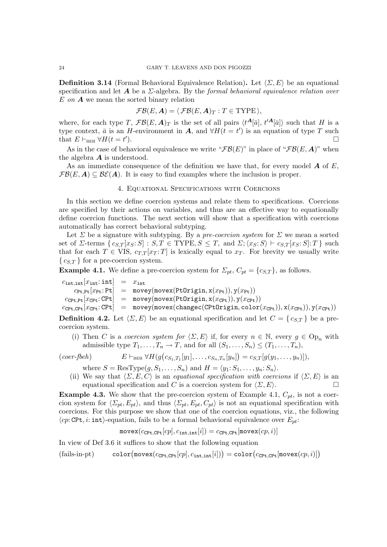**Definition 3.14** (Formal Behavioral Equivalence Relation). Let  $\langle \Sigma, E \rangle$  be an equational specification and let  $A$  be a  $\Sigma$ -algebra. By the formal behavioral equivalence relation over  $E$  on  $\bf{A}$  we mean the sorted binary relation

$$
\mathcal{FB}(E,\mathbf{A}) = \langle \mathcal{FB}(E,\mathbf{A})_T : T \in \text{TYPE} \rangle,
$$

where, for each type T,  $\mathcal{FB}(E,\mathbf{A})_T$  is the set of all pairs  $\langle t^{\mathbf{A}}[\bar{a}], t'^{\mathbf{A}}[\bar{a}]\rangle$  such that H is a type context,  $\bar{a}$  is an H-environment in A, and  $\forall H(t = t')$  is an equation of type T such that  $E\vdash_{\text{BEH}} \forall H(t=t')$ ).

As in the case of behavioral equivalence we write " $\mathcal{FB}(E)$ " in place of " $\mathcal{FB}(E, \mathbf{A})$ " when the algebra  $\boldsymbol{A}$  is understood.

As an immediate consequence of the definition we have that, for every model  $\boldsymbol{A}$  of  $E$ ,  $\mathcal{FB}(E, \mathbf{A}) \subseteq \mathcal{BE}(\mathbf{A})$ . It is easy to find examples where the inclusion is proper.

### 4. Equational Specifications with Coercions

In this section we define coercion systems and relate them to specifications. Coercions are specified by their actions on variables, and thus are an effective way to equationally define coercion functions. The next section will show that a specification with coercions automatically has correct behavioral subtyping.

Let  $\Sigma$  be a signature with subtyping. By a pre-coercion system for  $\Sigma$  we mean a sorted set of  $\Sigma$ -terms  $\{c_{S,T}[x_S:S] : S,T \in \text{TYPE}, S \leq T, \text{ and } \Sigma;\langle x_S:S \rangle \vdash c_{S,T}[x_S:S]: T \}$  such that for each  $T \in VIS$ ,  $c_{TT}[x_T; T]$  is lexically equal to  $x_T$ . For brevity we usually write  ${c_{S,T}}$  for a pre-coercion system.

**Example 4.1.** We define a pre-coercion system for  $\Sigma_{pt}$ ,  $C_{pt} = \{c_{S,T}\}\$ , as follows.

 $c_{\text{int},\text{int}}[x_{\text{int}}: \text{int}] = x_{\text{int}}$  $c_{\text{Pt},\text{Pt}}[x_{\text{Pt}}: \text{Pt}] = \text{move}( \text{move}( \text{PtOrigin}, x(x_{\text{Pt}})), y(x_{\text{Pt}}))$  $cc_{\text{CPt},\text{Pt}}[x_{\text{CPt}}:\text{CPt}] = \text{move}(\text{move}(\text{PtOrigin}, x(x_{\text{CPt}})), y(x_{\text{CPt}}))$  $cc_{\text{Pt},\text{CPt}}[x_{\text{CPt}}:\text{CPt}] = \text{move}( \text{move}( \text{change}( \text{CPtOriginal}) \text{,} \text{color}(x_{\text{CPt}})), x(x_{\text{CPt}})), y(x_{\text{CPt}}))$ 

**Definition 4.2.** Let  $\langle \Sigma, E \rangle$  be an equational specification and let  $C = \{ c_{S,T} \}$  be a precoercion system.

(i) Then C is a coercion system for  $\langle \Sigma, E \rangle$  if, for every  $n \in \mathbb{N}$ , every  $g \in \text{Op}_n$  with admissible type  $T_1, \ldots, T_n \to T$ , and for all  $(S_1, \ldots, S_n) \leq (T_1, \ldots, T_n)$ ,

$$
(coer-fbeh) \qquad E \vdash_{BEH} \forall H(g(c_{S_1,T_1}[y_1],\ldots,c_{S_n,T_n}[y_n]) = c_{S,T}[g(y_1,\ldots,y_n)]),
$$

where  $S = \text{ResType}(g, S_1, \ldots, S_n)$  and  $H = \langle y_1: S_1, \ldots, y_n: S_n \rangle$ .

(ii) We say that  $\langle \Sigma, E, C \rangle$  is an *equational specification with coercions* if  $\langle \Sigma, E \rangle$  is an equational specification and C is a coercion system for  $\langle \Sigma, E \rangle$ .

**Example 4.3.** We show that the pre-coercion system of Example 4.1,  $C_{pt}$ , is not a coercion system for  $\langle \Sigma_{pt}, E_{pt} \rangle$ , and thus  $\langle \Sigma_{pt}, E_{pt}, C_{pt} \rangle$  is not an equational specification with coercions. For this purpose we show that one of the coercion equations, viz., the following  $\langle cp: \text{CPt}, i: \text{int}\rangle$ -equation, fails to be a formal behavioral equivalence over  $E_{pt}:$ 

 $\text{move}(c_{\text{CPt.CPt}}[cp], c_{\text{int.int}}[i]) = c_{\text{CPt.CPt}}[\text{move}(cp, i)]$ 

In view of Def 3.6 it suffices to show that the following equation

 $(fails-in\n-pt)$  $\mathtt{move}(c_{\mathtt{CPt},\mathtt{CPt}}[cp],c_{\mathtt{int},\mathtt{int}}[i])) = \mathtt{color}\big(c_{\mathtt{CPt},\mathtt{CPt}}[\mathtt{move}(cp,i)]\big)$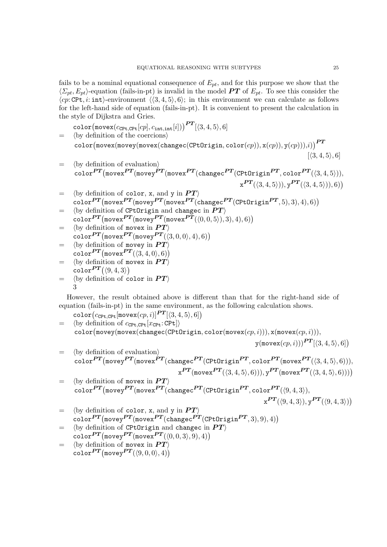fails to be a nominal equational consequence of  $E_{nt}$ , and for this purpose we show that the  $\langle \Sigma_{pt}, E_{pt} \rangle$ -equation (fails-in-pt) is invalid in the model PT of  $E_{pt}$ . To see this consider the  $\langle cp: \text{CPt}, i: \text{int}\rangle$ -environment  $\langle \langle 3, 4, 5 \rangle, 6 \rangle$ ; in this environment we can calculate as follows for the left-hand side of equation (fails-in-pt). It is convenient to present the calculation in the style of Dijkstra and Gries.

 $\texttt{color}(\texttt{move}(c_\texttt{CPt,CPt}[cp], c_\texttt{int,int}[i]))^{\textbf{\textit{PT}}}[\langle 3, 4, 5 \rangle, 6]$  $=$  (by definition of the coercions)  $\texttt{color}(\texttt{move}( \texttt{move}( \texttt{change}( \texttt{CPtOriginal}, \texttt{color}(cp)), \texttt{x}(cp)), \texttt{y}(cp)) ), i))^{P1}$  $[\langle 3, 4, 5 \rangle, 6]$ 

- $=$  (by definition of evaluation)  $\texttt{color}^{PT}(\texttt{move}|^{PT}(\texttt{move}|^{PT}(\texttt{move}|^{PT}(\texttt{change}|^{PT}(\texttt{CPtOriginal}|^{PT}, \texttt{color}|^{PT}(\langle 3,4,5 \rangle)),$  $\text{x}^{PT}(\langle 3, 4, 5 \rangle)), \text{y}^{PT}(\langle 3, 4, 5 \rangle)), 6))$
- $=$   $\langle$  by definition of color, x, and y in  $PT$  $\rangle$  $\text{color} \textit{PT}\left(\text{move}\textit{PT}\left(\text{move}\textit{PT}\left(\text{move}\textit{PT}\left(\text{change}\textit{CPT}\left(\text{CPtOriginal}\textit{PT},5\right),3\right),4\right),6\right)\right)$
- $=$  (by definition of CPtOrigin and changec in  $PT$ )  $\texttt{color}^{PT}(\texttt{move}(m \texttt{overs} PT(\texttt{move}(0, 0, 5)), 3), 4), 6))$
- $=$  (by definition of movex in  $PT$ )  $\text{color} \textbf{P} \boldsymbol{T}(\text{move} \boldsymbol{P} \boldsymbol{T}(\text{move} \boldsymbol{P} \boldsymbol{T}(\langle 3,0,0 \rangle, 4), 6))$
- $=$  (by definition of movey in  $PT$ )  $\texttt{color}^{PT}(\texttt{movex}^{PT}(\langle 3, 4, 0 \rangle, 6))$ =  $\langle$  by definition of movex in  $PT\rangle$
- $\texttt{color}^{PT}(\langle 9,4,3\rangle)$  $=$   $\langle$  by definition of color in  $PT\rangle$ 3

However, the result obtained above is different than that for the right-hand side of equation (fails-in-pt) in the same environment, as the following calculation shows.

 $\texttt{color}\big(c_\texttt{CPt, CPt}\big[\texttt{move}(cp, i)\big] \textcolor{red}{PT}[\langle 3, 4, 5\rangle, 6]\big)$ 

 $=$  (by definition of  $c_{\text{CPL.CPt}}[x_{\text{CPt}}: \text{CPt}]\rangle$  $\texttt{color}(\texttt{move}( \texttt{move}( \texttt{change}( \texttt{CPtOriginal}, \texttt{color}(\texttt{move}(cp, i))), \texttt{x}(\texttt{move}(cp, i))),$ 

 $y(\text{move}(cp, i)))$  $PT[\langle 3, 4, 5 \rangle, 6]$ 

- $=$  (by definition of evaluation)  $\text{color} \textit{PT}(\text{move} \textit{PT}(\text{move} \textit{PT}(\text{change} \textit{CT} \textit{C}\text{P} \text{tO} \text{right} \textit{PT}, \text{color} \textit{PT}(\text{move} \textit{PT}(\langle 3,4,5 \rangle, 6))),$  $\text{x}^{PT}(\texttt{move}\text{x}^{PT}(\langle 3,4,5 \rangle,6))), \text{y}^{PT}(\texttt{move}\text{x}^{PT}(\langle 3,4,5 \rangle,6)))$
- $=$   $\langle$  by definition of movex in  $PT$  $\text{color}^{PT}(\text{move}^{PT}(\text{move}^{PT}(\text{change}^{PT}(\text{CPtOriginal}^{PT}, \text{color}^{PT}(\langle 9, 4, 3 \rangle),$  $\mathbf{x}^{PT}(\langle 9,4,3\rangle),\mathbf{y}^{PT}(\langle 9,4,3\rangle))$
- $=$   $\langle$  by definition of color, x, and y in  $PT$  $\text{color}Pr(\text{move}^{PT}(\text{move}^{PT}(\text{change}^{PT}(\text{CPtOriginal}^{PT}, 3), 9), 4))$
- =  $\langle$  by definition of CPtOrigin and changec in  $PT$ }  $\text{color} \textbf{P} \boldsymbol{T} (\text{move} \boldsymbol{P} \boldsymbol{T} (\text{move} \boldsymbol{P} \boldsymbol{T} ((0,0,3),9),4))$
- $=$  (by definition of movex in  $PT$ )  $\texttt{color}^{PT}(\texttt{move}^{PT}(\langle 9,0,0 \rangle, 4))$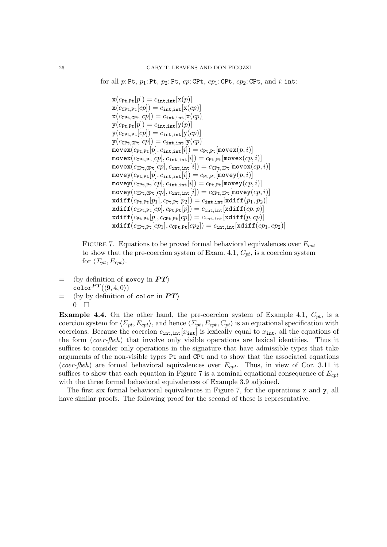for all  $p:$  Pt,  $p_1:$  Pt,  $p_2:$  Pt,  $cp:$  CPt,  $cp_1:$  CPt,  $cp_2:$  CPt, and  $i:$  int:

```
\mathbf{x}(c_{\text{Pt,Pt}}[p]) = c_{\text{int.int}}[\mathbf{x}(p)]\mathbf{x}(c_{\texttt{CPt},\texttt{Pt}}[cp]) = c_{\texttt{int},\texttt{int}}[\mathbf{x}(cp)]\mathbf{x}(c_{\texttt{CPt},\texttt{CPt}}[cp]) = c_{\texttt{int},\texttt{int}}[\mathbf{x}(cp)]y(c_{\text{Pt},\text{Pt}}[p]) = c_{\text{int},\text{int}}[y(p)]y(c_{\text{CPt.Pt}}[cp]) = c_{\text{int.int}}[y(cp)]y(c_{\text{CPt,CPt}}[cp]) = c_{\text{int,int}}[y(cp)]\texttt{move}(c_{\texttt{Pt},\texttt{Pt}}[p], c_{\texttt{int},\texttt{int}}[i]) = c_{\texttt{Pt},\texttt{Pt}}[\texttt{move}(p,i)]\mathtt{move}(c_{\mathtt{CPt},\mathtt{Pt}}[cp],c_{\mathtt{int},\mathtt{int}}[i]) = c_{\mathtt{Pt},\mathtt{Pt}}[\mathtt{move}(cp,i)]\texttt{move}(c_{\texttt{CPt},\texttt{CPt}}[cp], c_{\texttt{int},\texttt{int}}[i]) = c_{\texttt{CPt},\texttt{CPt}}[\texttt{move}(cp, i)]\texttt{move}(c_{\texttt{Pt},\texttt{Pt}}[p], c_{\texttt{int},\texttt{int}}[i]) = c_{\texttt{Pt},\texttt{Pt}}[\texttt{move}(p,i)]\texttt{movey}(c_\texttt{CPt,Pt}[cp], c_\texttt{int,int}[i]) = c_\texttt{Pt,Pt}[\texttt{movey}(cp, i)]\texttt{move}(c_{\texttt{CPt},\texttt{CPt}}[cp], c_{\texttt{int},\texttt{int}}[i]) = c_{\texttt{CPt},\texttt{CPt}}[\texttt{move}(cp, i)]xdiff(c_{Pt,Pt}[p_1], c_{Pt,Pt}[p_2]) = c_{int,int}[xdiff(p_1, p_2)]xdiff(c_{\text{CPt,Pt}}[cp], c_{\text{Pt,Pt}}[p]) = c_{\text{int,int}}[xdiff(cp, p)]xdiff(c_{Pt,Pt}[p], c_{\text{CPt,Pt}}[cp]) = c_{int,int}[xdiff(p, cp)]\texttt{xdiff}(c_\texttt{CPL,Pt}[cp_1],c_\texttt{CPL,Pt}[cp_2]) = c_\texttt{int,int}[\texttt{xdiff}(cp_1,cp_2)]
```
FIGURE 7. Equations to be proved formal behavioral equivalences over  $E_{cpt}$ to show that the pre-coercion system of Exam. 4.1,  $C_{pt}$ , is a coercion system for  $\langle \Sigma_{pt}, E_{cpt} \rangle$ .

 $=$   $\langle$  by definition of movey in  $PT\rangle$  $color^{PT}(\langle 9, 4, 0 \rangle)$  $=$   $\langle$  by by definition of color in  $PT$  $0$   $\Box$ 

**Example 4.4.** On the other hand, the pre-coercion system of Example 4.1,  $C_{pt}$ , is a coercion system for  $\langle \Sigma_{pt}, E_{cpt} \rangle$ , and hence  $\langle \Sigma_{pt}, E_{cpt}, C_{pt} \rangle$  is an equational specification with coercions. Because the coercion  $c_{\text{int,int}}[x_{\text{int}}]$  is lexically equal to  $x_{\text{int}}$ , all the equations of the form (coer-fbeh) that involve only visible operations are lexical identities. Thus it suffices to consider only operations in the signature that have admissible types that take arguments of the non-visible types Pt and CPt and to show that the associated equations (coer-fbeh) are formal behavioral equivalences over  $E_{cpt}$ . Thus, in view of Cor. 3.11 it suffices to show that each equation in Figure 7 is a nominal equational consequence of  $E_{\text{cnt}}$ with the three formal behavioral equivalences of Example 3.9 adjoined.

The first six formal behavioral equivalences in Figure 7, for the operations x and y, all have similar proofs. The following proof for the second of these is representative.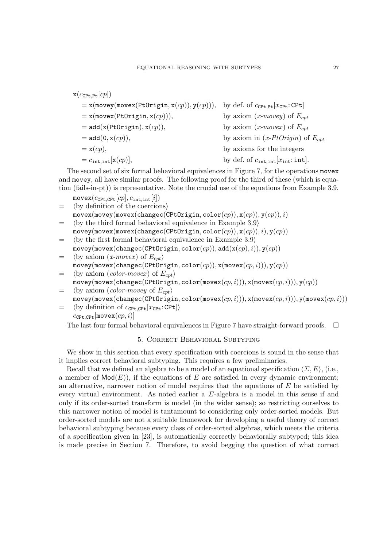$$
x(c_{\text{CPt},\text{Pt}}[cp])
$$
\n
$$
= x(\text{move}( \text{PtOriginal}, x(cp)), y(cp))), \text{ by def. of } c_{\text{CPt},\text{Pt}}[x_{\text{CPt}}:\text{CPt}]
$$
\n
$$
= x(\text{move}( \text{PtOriginal}, x(cp))), \text{ by axiom } (x\text{-move}) \text{ of } E_{cpt}
$$
\n
$$
= \text{add}(x(\text{PtOriginal}), x(cp)), \text{ by axiom } (x\text{-move}) \text{ of } E_{cpt}
$$
\n
$$
= \text{add}(0, x(cp)), \text{ by axiom in } (x\text{-PtOriginal}) \text{ of } E_{cpt}
$$
\n
$$
= x(cp), \text{ by axioms for the integers}
$$
\n
$$
= c_{\text{int},\text{int}}[x(cp)], \text{ by def. of } c_{\text{int},\text{int}}[x_{\text{int}}]:\text{int}].
$$

The second set of six formal behavioral equivalences in Figure 7, for the operations movex and movey, all have similar proofs. The following proof for the third of these (which is equation (fails-in-pt)) is representative. Note the crucial use of the equations from Example 3.9.

 $move(x_{\text{CPt.CPt}}[cp], c_{\text{int.int}}[i])$ 

- $=$   $\langle$  by definition of the coercions $\rangle$  $movex(movey(movex(changec(CPtOrigin, color(cp)), x(cp)), y(cp)), i)$  $=$   $\langle$  by the third formal behavioral equivalence in Example 3.9 $\rangle$
- $movey(movex(movex(changec(CPtOrigin, color(cp)), x(cp)), i), y(cp))$  $=$   $\langle$  by the first formal behavioral equivalence in Example 3.9 $\rangle$
- $movey(movex(changec(CPtOrigin, color(cp)), add(x(cp), i)), y(cp))$  $=$   $\langle$  by axiom  $(x\text{-}move x)$  of  $E_{\text{c}pt}\rangle$
- $movey(movex(changec(CPtOriginal), color(cp)), x(movex(cp, i))), y(cp))$
- $=$   $\langle$  by axiom (*color-movex*) of  $E_{cnt}$  $movey(movex(changec(CPtOriginal, color(movex(cp, i))), x(movex(cp, i))), y(cp))$
- $=$   $\langle$  by axiom (*color-movey* of  $E_{cpt}$ )  $movey(movex(changec(CPtOrigin, color(movex(cp, i))), x(movex(cp, i))), y(movex(cp, i)))$
- $=$  (by definition of  $c_{\text{CPt.CPt}}[x_{\text{CPt}}:\text{CPt}]\rangle$  $c_{\texttt{CPt,CPt}}$ [movex $(c p, i)$ ]

The last four formal behavioral equivalences in Figure 7 have straight-forward proofs.  $\Box$ 

## 5. Correct Behavioral Subtyping

We show in this section that every specification with coercions is sound in the sense that it implies correct behavioral subtyping. This requires a few preliminaries.

Recall that we defined an algebra to be a model of an equational specification  $\langle \Sigma, E \rangle$ , (i.e., a member of  $\textsf{Mod}(E)$ , if the equations of E are satisfied in every dynamic environment; an alternative, narrower notion of model requires that the equations of  $E$  be satisfied by every virtual environment. As noted earlier a  $\Sigma$ -algebra is a model in this sense if and only if its order-sorted transform is model (in the wider sense); so restricting ourselves to this narrower notion of model is tantamount to considering only order-sorted models. But order-sorted models are not a suitable framework for developing a useful theory of correct behavioral subtyping because every class of order-sorted algebras, which meets the criteria of a specification given in [23], is automatically correctly behaviorally subtyped; this idea is made precise in Section 7. Therefore, to avoid begging the question of what correct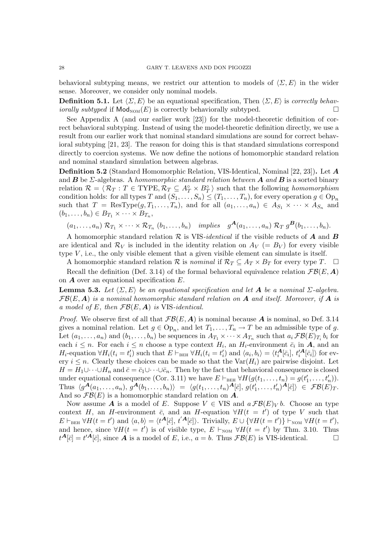behavioral subtyping means, we restrict our attention to models of  $\langle \Sigma, E \rangle$  in the wider sense. Moreover, we consider only nominal models.

**Definition 5.1.** Let  $\langle \Sigma, E \rangle$  be an equational specification, Then  $\langle \Sigma, E \rangle$  is correctly behav*iorally subtyped* if  $\mathsf{Mod}_{\mathsf{NOM}}(E)$  is correctly behaviorally subtyped.  $\Box$ 

See Appendix A (and our earlier work [23]) for the model-theoretic definition of correct behavioral subtyping. Instead of using the model-theoretic definition directly, we use a result from our earlier work that nominal standard simulations are sound for correct behavioral subtyping [21, 23]. The reason for doing this is that standard simulations correspond directly to coercion systems. We now define the notions of homomorphic standard relation and nominal standard simulation between algebras.

Definition 5.2 (Standard Homomorphic Relation, VIS-Identical, Nominal [22, 23]). Let A and **B** be  $\Sigma$ -algebras. A homomorphic standard relation between **A** and **B** is a sorted binary relation  $\mathcal{R} = \langle \mathcal{R}_T : T \in \text{TYPE}, \mathcal{R}_T \subseteq A_T^{\circ} \times B_T^{\circ} \rangle$  such that the following homomorphism condition holds: for all types T and  $(S_1, \ldots, S_n) \le (T_1, \ldots, T_n)$ , for every operation  $g \in \text{Op}_n$ such that  $T = \text{ResType}(g, T_1, \ldots, T_n)$ , and for all  $(a_1, \ldots, a_n) \in A_{S_1} \times \cdots \times A_{S_n}$  and  $(b_1, \ldots, b_n) \in B_{T_1} \times \cdots \times B_{T_n},$ 

 $(a_1, \ldots, a_n) \mathcal{R}_{T_1} \times \cdots \times \mathcal{R}_{T_n} (b_1, \ldots, b_n)$  implies  $g^{\mathbf{A}}(a_1, \ldots, a_n) \mathcal{R}_T g^{\mathbf{B}}(b_1, \ldots, b_n)$ .

A homomorphic standard relation  $\mathcal R$  is VIS-*identical* if the visible reducts of  $A$  and  $B$ are identical and  $\mathcal{R}_V$  is included in the identity relation on  $A_V (= B_V)$  for every visible type  $V$ , i.e., the only visible element that a given visible element can simulate is itself.

A homomorphic standard relation R is nominal if  $\mathcal{R}_T \subseteq A_T \times B_T$  for every type T.  $\Box$ Recall the definition (Def. 3.14) of the formal behavioral equivalence relation  $\mathcal{FB}(E,\boldsymbol{A})$ on  $\boldsymbol{A}$  over an equational specification  $E$ .

**Lemma 5.3.** Let  $\langle \Sigma, E \rangle$  be an equational specification and let A be a nominal  $\Sigma$ -algebra.  $FB(E, A)$  is a nominal homomorphic standard relation on A and itself. Moreover, if A is a model of E, then  $\mathcal{FB}(E, \mathbf{A})$  is VIS-identical.

*Proof.* We observe first of all that  $\mathcal{FB}(E, \mathbf{A})$  is nominal because  $\mathbf{A}$  is nominal, so Def. 3.14 gives a nominal relation. Let  $g \in \text{Op}_n$ , and let  $T_1, \ldots, T_n \to T$  be an admissible type of g. Let  $(a_1, \ldots, a_n)$  and  $(b_1, \ldots, b_n)$  be sequences in  $A_{T_1} \times \cdots \times A_{T_n}$  such that  $a_i \mathcal{FB}(E)_{T_i} b_i$  for each  $i \leq n$ . For each  $i \leq n$  choose a type context  $H_i$ , an  $H_i$ -environment  $\bar{c}_i$  in  $A$ , and an  $H_i$ -equation  $\forall H_i(t_i = t'_i)$  $\sum_{i}$  such that  $E \vdash_{\text{BEH}} \forall H_i(t_i = t_i)$  $\langle i \rangle$  and  $\langle a_i, b_i \rangle = \langle t_i^{\mathbf{A}}[\bar{c}_i], t_i^{\prime\mathbf{A}}[\bar{c}_i] \rangle$  for every  $i \leq n$ . Clearly these choices can be made so that the Var $(H_i)$  are pairwise disjoint. Let  $H = H_1 \cup \cdots \cup H_n$  and  $\bar{c} = \bar{c}_1 \cup \cdots \cup \bar{c}_n$ . Then by the fact that behavioral consequence is closed under equational consequence (Cor. 3.11) we have  $E \vdash_{BEH} \forall H(g(t_1, \ldots, t_n) = g(t)$  $t'_{1}, \ldots, t'_{n})$ ). Thus  $\langle g^{\overline{\mathbf{\mathcal{A}}}}(a_1,\ldots,a_n), g^{\overline{\mathbf{\mathcal{A}}}}(b_1,\ldots,b_n)\rangle = \langle g(t_1,\ldots,t_n)^{\overline{\mathbf{\mathcal{A}}}}[\overline{c}], g(t) \rangle$  $\langle t'_1,\ldots,t'_n\rangle^{\mathbf{A}}[\bar{c}]\rangle\ \in\ \mathcal{FB}(E)_T.$ And so  $\mathcal{FB}(E)$  is a homomorphic standard relation on  $\mathbf{A}$ .

Now assume **A** is a model of E. Suppose  $V \in VIS$  and  $a \mathcal{FB}(E)_V b$ . Choose an type context H, an H-environment  $\bar{c}$ , and an H-equation  $\forall H(t = t')$  of type V such that  $E\vdash_{\texttt{BEH}} \forall H(t = t') \text{ and } \langle a, b \rangle = \langle t^{\overline{A}}[\overline{c}], t'^{\overline{A}}[\overline{c}]\rangle.$  Trivially,  $E \cup \{\forall H(t = t')\} \vdash_{\texttt{NOM}} \forall H(t = t'),$ and hence, since  $\forall H(t = t')$  is of visible type,  $E \vdash_{\text{NOM}} \forall H(t = t')$  by Thm. 3.10. Thus  $t^{\mathbf{A}}[\bar{c}] = t'^{\mathbf{A}}[\bar{c}],$  since  $\hat{\mathbf{A}}$  is a model of E, i.e.,  $a = b$ . Thus  $\mathcal{FB}(E)$  is VIS-identical.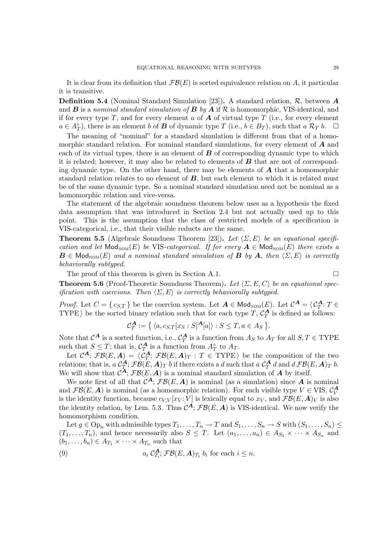It is clear from its definition that  $\mathcal{FB}(E)$  is sorted equivalence relation on A, it particular it is transitive.

**Definition 5.4** (Nominal Standard Simulation [23]). A standard relation,  $\mathcal{R}$ , between  $\mathcal{A}$ and  $\bf{B}$  is a nominal standard simulation of  $\bf{B}$  by  $\bf{A}$  if  $\bf{R}$  is homomorphic, VIS-identical, and if for every type T, and for every element a of  $\boldsymbol{A}$  of virtual type T (i.e., for every element  $a \in A_T^{\circ}$ , there is an element b of **B** of dynamic type T (i.e.,  $b \in B_T$ ), such that  $a \mathcal{R}_T b$ .  $\Box$ 

The meaning of "nominal" for a standard simulation is different from that of a homomorphic standard relation. For nominal standard simulations, for every element of  $\boldsymbol{A}$  and each of its virtual types, there is an element of  $\bf{B}$  of corresponding dynamic type to which it is related; however, it may also be related to elements of  $\boldsymbol{B}$  that are not of corresponding dynamic type. On the other hand, there may be elements of  $\boldsymbol{A}$  that a homomorphic standard relation relates to no element of  $\bm{B}$ , but each element to which it is related must be of the same dynamic type. So a nominal standard simulation need not be nominal as a homomorphic relation and vice-versa.

The statement of the algebraic soundness theorem below uses as a hypothesis the fixed data assumption that was introduced in Section 2.4 but not actually used up to this point. This is the assumption that the class of restricted models of a specification is VIS-categorical, i.e., that their visible reducts are the same.

**Theorem 5.5** (Algebraic Soundness Theorem [23]). Let  $\langle \Sigma, E \rangle$  be an equational specification and let  $\text{Mod}_{\text{NOM}}(E)$  be VIS-categorical. If for every  $A \in \text{Mod}_{\text{NOM}}(E)$  there exists a  $\mathbf{B} \in \mathsf{Mod}_{\mathsf{NOM}}(E)$  and a nominal standard simulation of  $\mathbf{B}$  by  $\mathbf{A}$ , then  $\langle \Sigma, E \rangle$  is correctly behaviorally subtyped.

The proof of this theorem is given in Section A.1.  $\Box$ 

**Theorem 5.6** (Proof-Theoretic Soundness Theorem). Let  $\langle \Sigma, E, C \rangle$  be an equational specification with coercions. Then  $\langle \Sigma, E \rangle$  is correctly behaviorally subtyped.

*Proof.* Let  $C = \{c_{S,T}\}\$ be the coercion system. Let  $A \in Mod_{NOM}(E)$ . Let  $C^A = \langle C^A_T : T \in$ TYPE) be the sorted binary relation such that for each type T,  $\mathcal{C}_T^{\mathbf{A}}$  is defined as follows:

$$
\mathcal{C}_T^{\mathbf{A}} := \{ \langle a, c_{S,T}[x_S : S]^{\mathbf{A}}[a] \rangle : S \leq T, a \in A_S \}.
$$

Note that  $\mathcal{C}^{\mathbf{A}}$  is a sorted function, i.e.,  $\mathcal{C}^{\mathbf{A}}_T$  is a function from  $A_S$  to  $A_T$  for all  $S, T \in \text{TYPE}$ such that  $S \leq T$ ; that is,  $C_T^{\mathbf{A}}$  is a function from  $A_T^{\circ}$  to  $A_T$ .

Let  $\mathcal{C}^{\mathbf{A}}$ ;  $\mathcal{FB}(E, \mathbf{A}) = \langle \tilde{C}_T^{\mathbf{A}}$ ;  $\mathcal{FB}(E, \mathbf{A})_T : T \in \text{TYPE} \rangle$  be the composition of the two relations; that is,  $a C_T^{\bm{A}}$ ;  $\mathcal{FB} (E, \bm{A})_T$  b if there exists a  $d$  such that  $a C_T^{\bm{A}} d$  and  $d \mathcal{FB} (E, \bm{A})_T$  b. We will show that  $\mathcal{C}^{\mathbf{A}}$ ;  $\mathcal{FB}(E, \mathbf{A})$  is a nominal standard simulation of  $\mathbf{A}$  by itself.

We note first of all that  $\mathcal{C}^{\mathbf{A}}$ ;  $\mathcal{FB}(E, \mathbf{A})$  is nominal (as a simulation) since  $\mathbf{A}$  is nominal and  $\mathcal{FB}(E, \mathbf{A})$  is nominal (as a homomorphic relation). For each visible type  $V \in \text{VIS}, \mathcal{C}_V^{\mathbf{A}}$ is the identity function, because  $c_{V,V}[x_V:V]$  is lexically equal to  $x_V$ , and  $\mathcal{FB}(E,\mathbf{A})_V$  is also the identity relation, by Lem. 5.3. Thus  $\mathcal{C}^{\mathbf{A}}$ ;  $\mathcal{FB}(E,\mathbf{A})$  is VIS-identical. We now verify the homomorphism condition.

Let  $g \in \text{Op}_n$  with admissible types  $T_1, \ldots, T_n \to T$  and  $S_1, \ldots, S_n \to S$  with  $(S_1, \ldots, S_n) \le$  $(T_1, \ldots, T_n)$ , and hence necessarily also  $S \leq T$ . Let  $(a_1, \ldots, a_n) \in A_{S_1} \times \cdots \times A_{S_n}$  and  $(b_1, \ldots, b_n) \in A_{T_1} \times \cdots \times A_{T_n}$  such that

(9) 
$$
a_i C_{T_i}^{\mathbf{A}} \mathcal{F} \mathcal{B}(E, \mathbf{A})_{T_i} b_i \text{ for each } i \leq n.
$$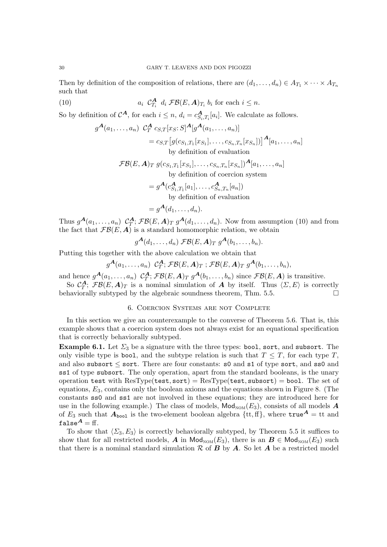Then by definition of the composition of relations, there are  $(d_1, \ldots, d_n) \in A_{T_1} \times \cdots \times A_{T_n}$ such that

(10) 
$$
a_i \mathcal{C}_{T_i}^{\mathbf{A}} d_i \mathcal{F} \mathcal{B}(E, \mathbf{A})_{T_i} b_i \text{ for each } i \leq n.
$$

So by definition of  $\mathcal{C}^{\mathbf{A}}$ , for each  $i \leq n$ ,  $d_i = c_{S_i,T_i}^{\mathbf{A}}[a_i]$ . We calculate as follows.

$$
g^{\mathbf{A}}(a_1,\ldots,a_n) \ \mathcal{C}_T^{\mathbf{A}} c_{S,T}[x_S;S]^{\mathbf{A}}[g^{\mathbf{A}}(a_1,\ldots,a_n)]
$$
  
=  $c_{S,T}[g(c_{S_1,T_1}[x_{S_1}],\ldots,c_{S_n,T_n}[x_{S_n}])]^{\mathbf{A}}[a_1,\ldots,a_n]$   
by definition of evaluation

 $\mathcal{FB}(E,\bm{A})_T\;g(c_{S_1,T_1}[x_{S_1}],\ldots,c_{S_n,T_n}[x_{S_n}])^{\bm{A}}[a_1,\ldots,a_n]$ by definition of coercion system

$$
= g^{\mathbf{A}}(c_{S_1,T_1}^{\mathbf{A}}[a_1], \dots, c_{S_n,T_n}^{\mathbf{A}}[a_n])
$$
  
by definition of evaluation

$$
= g^{\mathbf{A}}(d_1, \ldots, d_n).
$$

Thus  $g^{\mathbf{A}}(a_1,\ldots,a_n) \mathcal{C}^{\mathbf{A}}_T$ ;  $\mathcal{FB}(E,\mathbf{A})_T g^{\mathbf{A}}(d_1,\ldots,d_n)$ . Now from assumption (10) and from the fact that  $\mathcal{FB}(E,\boldsymbol{A})$  is a standard homomorphic relation, we obtain

$$
g^{\mathbf{A}}(d_1,\ldots,d_n)\ \mathcal{FB}(E,\mathbf{A})_T\ g^{\mathbf{A}}(b_1,\ldots,b_n).
$$

Putting this together with the above calculation we obtain that

$$
g^{\boldsymbol{A}}(a_1,\ldots,a_n) \ \ \mathcal{C}^{\boldsymbol{A}}_T; \ \mathcal{FB}(E,\boldsymbol{A})_T \ ; \ \mathcal{FB}(E,\boldsymbol{A})_T \ g^{\boldsymbol{A}}(b_1,\ldots,b_n),
$$

and hence  $g^{A}(a_1,\ldots,a_n)$   $C_T^A$ ;  $\mathcal{FB}(E,A)_T$   $g^{A}(b_1,\ldots,b_n)$  since  $\mathcal{FB}(E,A)$  is transitive.

So  $\mathcal{C}_T^{\mathbf{A}}$ ;  $\mathcal{FB}(E,\mathbf{A})_T$  is a nominal simulation of  $\mathbf{A}$  by itself. Thus  $\langle \Sigma, E \rangle$  is correctly behaviorally subtyped by the algebraic soundness theorem, Thm. 5.5.

# 6. Coercion Systems are not Complete

In this section we give an counterexample to the converse of Theorem 5.6. That is, this example shows that a coercion system does not always exist for an equational specification that is correctly behaviorally subtyped.

**Example 6.1.** Let  $\Sigma_3$  be a signature with the three types: bool, sort, and subsort. The only visible type is bool, and the subtype relation is such that  $T \leq T$ , for each type T, and also subsort  $\leq$  sort. There are four constants: s0 and s1 of type sort, and ss0 and ss1 of type subsort. The only operation, apart from the standard booleans, is the unary operation test with  $\text{ResType}(\text{test}, \text{sort}) = \text{ResType}(\text{test}, \text{subsort}) = \text{bool}$ . The set of equations,  $E_3$ , contains only the boolean axioms and the equations shown in Figure 8. (The constants ss0 and ss1 are not involved in these equations; they are introduced here for use in the following example.) The class of models,  $\mathsf{Mod}_{\mathrm{NOM}}(E_3)$ , consists of all models A of  $E_3$  such that  $A_{\text{bool}}$  is the two-element boolean algebra  $\{\text{tt}, \text{ff}\}\,$ , where  $\text{true}^A = \text{tt}$  and false $A = ff$ .

To show that  $\langle \Sigma_3, E_3 \rangle$  is correctly behaviorally subtyped, by Theorem 5.5 it suffices to show that for all restricted models, A in  $\textsf{Mod}_{\textsf{NOM}}(E_3)$ , there is an  $\mathbf{B} \in \textsf{Mod}_{\textsf{NOM}}(E_3)$  such that there is a nominal standard simulation  $R$  of  $B$  by  $A$ . So let  $A$  be a restricted model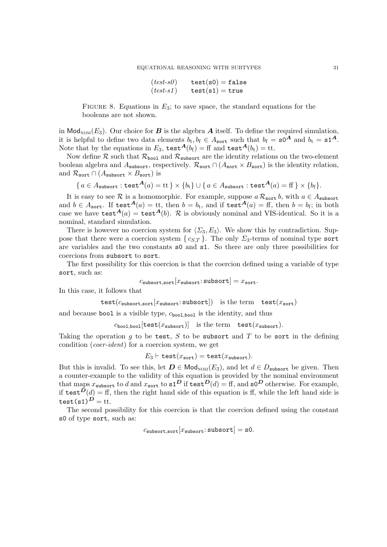| $(test-so)$ | $test(s0) = false$ |
|-------------|--------------------|
| $(test-s1)$ | $test(s1) = true$  |

FIGURE 8. Equations in  $E_3$ ; to save space, the standard equations for the booleans are not shown.

in Mod<sub>NOM</sub> $(E_3)$ . Our choice for **B** is the algebra **A** itself. To define the required simulation, it is helpful to define two data elements  $b_t, b_f \in A_{\text{sort}}$  such that  $b_f = \textbf{s0}^A$  and  $b_t = \textbf{s1}^A$ . Note that by the equations in  $E_3$ , test  $A(b_f) = ff$  and test  $A(b_f) = tt$ .

Now define  $R$  such that  $R_{\text{bool}}$  and  $R_{\text{subsort}}$  are the identity relations on the two-element boolean algebra and  $A_{\text{subsort}}$ , respectively.  $\mathcal{R}_{\text{sort}} \cap (A_{\text{sort}} \times B_{\text{sort}})$  is the identity relation, and  $\mathcal{R}_{\text{sort}} \cap (A_{\text{subsort}} \times B_{\text{sort}})$  is

$$
\{ a \in A_{\text{subsort}} : \text{test}^{\mathbf{A}}(a) = \text{tt} \} \times \{b_{\text{t}}\} \cup \{ a \in A_{\text{subsort}} : \text{test}^{\mathbf{A}}(a) = \text{ff } \} \times \{b_{\text{f}}\}.
$$

It is easy to see R is a homomorphic. For example, suppose  $a \mathcal{R}_{sort} b$ , with  $a \in A_{subset}$ and  $b \in A_{\text{sort}}$ . If test  $A(a) = \text{tt}$ , then  $b = b_t$ , and if test  $A(a) = \text{ff}$ , then  $b = b_f$ ; in both case we have test  $A(a) = \text{test}(b)$ . R is obviously nominal and VIS-identical. So it is a nominal, standard simulation.

There is however no coercion system for  $\langle \Sigma_3, E_3 \rangle$ . We show this by contradiction. Suppose that there were a coercion system {  $c_{S,T}$  }. The only  $\Sigma_3$ -terms of nominal type sort are variables and the two constants s0 and s1. So there are only three possibilities for coercions from subsort to sort.

The first possibility for this coercion is that the coercion defined using a variable of type sort, such as:

$$
c_{\text{subsort}, \text{sort}}[x_{\text{subsort}}; \text{subsort}] = x_{\text{sort}}.
$$

In this case, it follows that

$$
test(c_{\text{subsort}, \text{sort}}[x_{\text{subsort}}; \text{subsort})
$$
) is the term  $test(x_{\text{sort}})$ 

and because bool is a visible type,  $c_{\text{bool},\text{bool}}$  is the identity, and thus

 $c_{\text{bool},\text{bool}}[\text{test}(x_{\text{subsort}})]$  is the term  $\text{test}(x_{\text{subsort}})$ .

Taking the operation  $g$  to be test,  $S$  to be subsort and  $T$  to be sort in the defining condition (coer-ident) for a coercion system, we get

$$
E_3 \vdash \texttt{test}(x_{\texttt{sort}}) = \texttt{test}(x_{\texttt{subsort}}).
$$

But this is invalid. To see this, let  $D \in Mod_{\text{NOM}}(E_3)$ , and let  $d \in D_{\text{subsort}}$  be given. Then a counter-example to the validity of this equation is provided by the nominal environment that maps  $x_{\texttt{subsort}}$  to  $d$  and  $x_{\texttt{sort}}$  to  $\texttt{sl}^{\textbf{D}}$  if  $\texttt{test}^{\textbf{D}}(d) = \text{ff}$ , and  $\texttt{sol}^{\textbf{D}}$  otherwise. For example, if test  $D(d) = f f$ , then the right hand side of this equation is ff, while the left hand side is test(s1) $\overrightarrow{D}$  = tt.

The second possibility for this coercion is that the coercion defined using the constant s0 of type sort, such as:

 $c_{\text{subsort}, \text{sort}}[x_{\text{subsort}}: \text{subsort}] = \text{s0}.$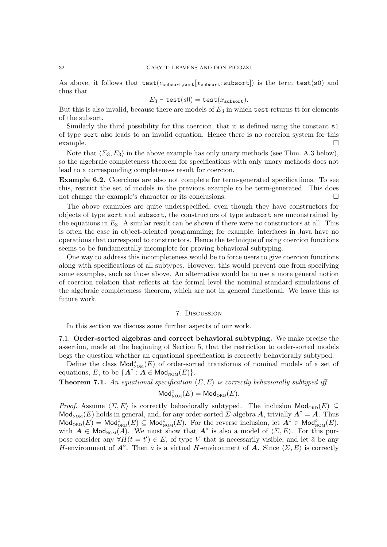As above, it follows that  $test(c_{\text{subsort}}[x_{\text{subsort}}; \text{subsort})$  is the term  $test(s0)$  and thus that

$$
E_3 \vdash \mathtt{test}(s0) = \mathtt{test}(x_{\mathtt{subsort}}).
$$

But this is also invalid, because there are models of  $E_3$  in which test returns tt for elements of the subsort.

Similarly the third possibility for this coercion, that it is defined using the constant s1 of type sort also leads to an invalid equation. Hence there is no coercion system for this  $\Box$ example.

Note that  $\langle \Sigma_3, E_3 \rangle$  in the above example has only unary methods (see Thm. A.3 below), so the algebraic completeness theorem for specifications with only unary methods does not lead to a corresponding completeness result for coercion.

Example 6.2. Coercions are also not complete for term-generated specifications. To see this, restrict the set of models in the previous example to be term-generated. This does not change the example's character or its conclusions.

The above examples are quite underspecified; even though they have constructors for objects of type sort and subsort, the constructors of type subsort are unconstrained by the equations in  $E_3$ . A similar result can be shown if there were no constructors at all. This is often the case in object-oriented programming; for example, interfaces in Java have no operations that correspond to constructors. Hence the technique of using coercion functions seems to be fundamentally incomplete for proving behavioral subtyping.

One way to address this incompleteness would be to force users to give coercion functions along with specifications of all subtypes. However, this would prevent one from specifying some examples, such as those above. An alternative would be to use a more general notion of coercion relation that reflects at the formal level the nominal standard simulations of the algebraic completeness theorem, which are not in general functional. We leave this as future work.

#### 7. Discussion

In this section we discuss some further aspects of our work.

7.1. Order-sorted algebras and correct behavioral subtyping. We make precise the assertion, made at the beginning of Section 5, that the restriction to order-sorted models begs the question whether an equational specification is correctly behaviorally subtyped.

Define the class  $\mathsf{Mod}_{\mathsf{NOM}}^{\circ}(E)$  of order-sorted transforms of nominal models of a set of equations, E, to be  ${A^{\circ}: A \in \mathsf{Mod}_{\mathrm{NOM}}(E)}$ .

**Theorem 7.1.** An equational specification  $\langle \Sigma, E \rangle$  is correctly behaviorally subtyped iff

# $\mathsf{Mod}^{\circ}_{\mathrm{NOM}}(E) = \mathsf{Mod}_{\mathrm{ORD}}(E).$

*Proof.* Assume  $\langle \Sigma, E \rangle$  is correctly behaviorally subtyped. The inclusion  $\mathsf{Mod}_{ORD}(E) \subseteq$ Mod<sub>NOM</sub> $(E)$  holds in general, and, for any order-sorted *Σ*-algebra **A**, trivially  $A^\circ = A$ . Thus  $\mathsf{Mod}_{ORD}^{\circ}(E) = \mathsf{Mod}_{ORD}^{\circ}(E) \subseteq \mathsf{Mod}_{\mathsf{NOM}}^{\circ}(E)$ . For the reverse inclusion, let  $\mathbf{A}^{\circ} \in \mathsf{Mod}_{\mathsf{NOM}}^{\circ}(E)$ , with  $\vec{A} \in Mod_{\text{NOM}}(\vec{A})$ . We must show that  $\vec{A}^\circ$  is also a model of  $\langle \Sigma, E \rangle$ . For this purpose consider any  $\forall H(t = t') \in E$ , of type V that is necessarily visible, and let  $\bar{a}$  be any H-environment of  $\mathbf{A}^\circ$ . Then  $\bar{a}$  is a virtual H-environment of  $\mathbf{A}$ . Since  $\langle \Sigma, E \rangle$  is correctly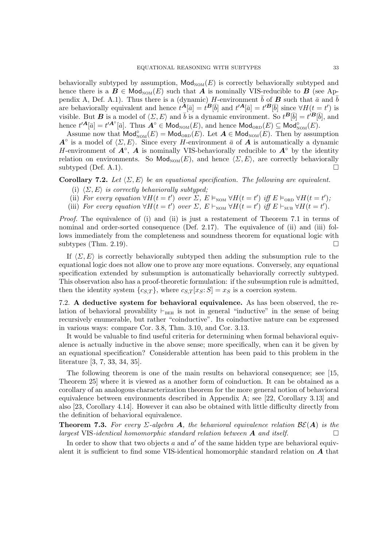behaviorally subtyped by assumption,  $\mathsf{Mod}_{\mathsf{NOM}}(E)$  is correctly behaviorally subtyped and hence there is a  $\mathbf{B} \in \mathsf{Mod}_{\mathrm{NOM}}(E)$  such that  $\mathbf{A}$  is nominally VIS-reducible to  $\mathbf{B}$  (see Appendix A, Def. A.1). Thus there is a (dynamic) H-environment  $\bar{b}$  of **B** such that  $\bar{a}$  and  $\bar{b}$ are behaviorally equivalent and hence  $t^{\mathbf{A}}[\bar{a}] = t^{\mathbf{B}}[\bar{b}]$  and  $t'^{\mathbf{A}}[\bar{a}] = t'^{\mathbf{B}}[\bar{b}]$  since  $\forall H(t = t')$  is visible. But **B** is a model of  $\langle \Sigma, E \rangle$  and  $\overline{b}$  is a dynamic environment. So  $t^B[\overline{b}] = t^{\prime B}[\overline{b}]$ , and hence  $t'^{\mathbf{A}}[\bar{a}] = t'^{\mathbf{A}^{\circ}}[\bar{a}]$ . Thus  $\mathbf{A}^{\circ} \in \mathsf{Mod}_{\mathrm{NOM}}(E)$ , and hence  $\mathsf{Mod}_{\mathrm{ORD}}(E) \subseteq \mathsf{Mod}_{\mathrm{NOM}}^{\circ}(E)$ .

Assume now that  $Mod_{\text{NOM}}^{\circ}(E) = Mod_{\text{ORD}}(E)$ . Let  $\mathbf{A} \in Mod_{\text{NOM}}(E)$ . Then by assumption  $A^{\circ}$  is a model of  $\langle \Sigma, E \rangle$ . Since every H-environment  $\bar{a}$  of  $\bar{A}$  is automatically a dynamic H-environment of  $\overrightarrow{A}^\circ$ ,  $\overrightarrow{A}$  is nominally VIS-behaviorally reducible to  $\overrightarrow{A}^\circ$  by the identity relation on environments. So  $\text{Mod}_{\text{NOM}}(E)$ , and hence  $\langle \Sigma, E \rangle$ , are correctly behaviorally subtyped (Def. A.1).

**Corollary 7.2.** Let  $\langle \Sigma, E \rangle$  be an equational specification. The following are equivalent.

- (i)  $\langle \Sigma, E \rangle$  is correctly behaviorally subtyped;
- (ii) For every equation  $\forall H(t=t')$  over  $\sum$ ,  $E \vDash_{\text{NOM}} \forall H(t=t')$  iff  $E \vDash_{\text{ORD}} \forall H(t=t')$ ;
- (iii) For every equation  $\forall H(t=t')$  over  $\Sigma$ ,  $E \vdash_{\text{NOM}} \forall H(t=t')$  iff  $E \vdash_{\text{SUB}} \forall H(t=t')$ .

*Proof.* The equivalence of (i) and (ii) is just a restatement of Theorem 7.1 in terms of nominal and order-sorted consequence (Def. 2.17). The equivalence of (ii) and (iii) follows immediately from the completeness and soundness theorem for equational logic with subtypes (Thm. 2.19).

If  $\langle \Sigma, E \rangle$  is correctly behaviorally subtyped then adding the subsumption rule to the equational logic does not allow one to prove any more equations. Conversely, any equational specification extended by subsumption is automatically behaviorally correctly subtyped. This observation also has a proof-theoretic formulation: if the subsumption rule is admitted, then the identity system  $\{c_{S,T}\}\$ , where  $c_{S,T}[x_S:S] = x_S$  is a coercion system.

7.2. A deductive system for behavioral equivalence. As has been observed, the relation of behavioral provability  $\vdash_{BEH}$  is not in general "inductive" in the sense of being recursively enumerable, but rather "coinductive". Its coinductive nature can be expressed in various ways: compare Cor. 3.8, Thm. 3.10, and Cor. 3.13.

It would be valuable to find useful criteria for determining when formal behavioral equivalence is actually inductive in the above sense; more specifically, when can it be given by an equational specification? Considerable attention has been paid to this problem in the literature [3, 7, 33, 34, 35].

The following theorem is one of the main results on behavioral consequence; see [15, Theorem 25] where it is viewed as a another form of coinduction. It can be obtained as a corollary of an analogous characterization theorem for the more general notion of behavioral equivalence between environments described in Appendix A; see [22, Corollary 3.13] and also [23, Corollary 4.14]. However it can also be obtained with little difficulty directly from the definition of behavioral equivalence.

**Theorem 7.3.** For every  $\Sigma$ -algebra A, the behavioral equivalence relation  $\mathcal{BE}(A)$  is the largest VIS-identical homomorphic standard relation between  $\bm{A}$  and itself.

In order to show that two objects  $a$  and  $a'$  of the same hidden type are behavioral equivalent it is sufficient to find some VIS-identical homomorphic standard relation on A that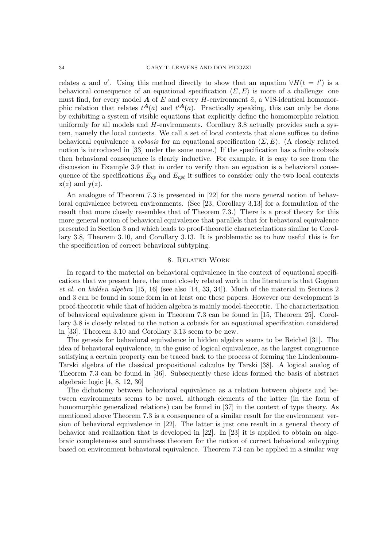relates a and a'. Using this method directly to show that an equation  $\forall H(t = t')$  is a behavioral consequence of an equational specification  $\langle \Sigma, E \rangle$  is more of a challenge: one must find, for every model  $\boldsymbol{A}$  of E and every H-environment  $\bar{a}$ , a VIS-identical homomorphic relation that relates  $t^{\mathbf{A}}(\bar{a})$  and  $t'^{\mathbf{A}}(\bar{a})$ . Practically speaking, this can only be done by exhibiting a system of visible equations that explicitly define the homomorphic relation uniformly for all models and  $H$ -environments. Corollary 3.8 actually provides such a system, namely the local contexts. We call a set of local contexts that alone suffices to define behavioral equivalence a *cobasis* for an equational specification  $\langle \Sigma, E \rangle$ . (A closely related notion is introduced in [33] under the same name.) If the specification has a finite cobasis then behavioral consequence is clearly inductive. For example, it is easy to see from the discussion in Example 3.9 that in order to verify than an equation is a behavioral consequence of the specifications  $E_{cp}$  and  $E_{cpt}$  it suffices to consider only the two local contexts  $x(z)$  and  $y(z)$ .

An analogue of Theorem 7.3 is presented in [22] for the more general notion of behavioral equivalence between environments. (See [23, Corollary 3.13] for a formulation of the result that more closely resembles that of Theorem 7.3.) There is a proof theory for this more general notion of behavioral equivalence that parallels that for behavioral equivalence presented in Section 3 and which leads to proof-theoretic characterizations similar to Corollary 3.8, Theorem 3.10, and Corollary 3.13. It is problematic as to how useful this is for the specification of correct behavioral subtyping.

#### 8. Related Work

In regard to the material on behavioral equivalence in the context of equational specifications that we present here, the most closely related work in the literature is that Goguen et al. on hidden algebra [15, 16] (see also [14, 33, 34]). Much of the material in Sections 2 and 3 can be found in some form in at least one these papers. However our development is proof-theoretic while that of hidden algebra is mainly model-theoretic. The characterization of behavioral equivalence given in Theorem 7.3 can be found in [15, Theorem 25]. Corollary 3.8 is closely related to the notion a cobasis for an equational specification considered in [33]. Theorem 3.10 and Corollary 3.13 seem to be new.

The genesis for behavioral equivalence in hidden algebra seems to be Reichel [31]. The idea of behavioral equivalence, in the guise of logical equivalence, as the largest congruence satisfying a certain property can be traced back to the process of forming the Lindenbaum-Tarski algebra of the classical propositional calculus by Tarski [38]. A logical analog of Theorem 7.3 can be found in [36]. Subsequently these ideas formed the basis of abstract algebraic logic [4, 8, 12, 30]

The dichotomy between behavioral equivalence as a relation between objects and between environments seems to be novel, although elements of the latter (in the form of homomorphic generalized relations) can be found in [37] in the context of type theory. As mentioned above Theorem 7.3 is a consequence of a similar result for the environment version of behavioral equivalence in [22]. The latter is just one result in a general theory of behavior and realization that is developed in [22]. In [23] it is applied to obtain an algebraic completeness and soundness theorem for the notion of correct behavioral subtyping based on environment behavioral equivalence. Theorem 7.3 can be applied in a similar way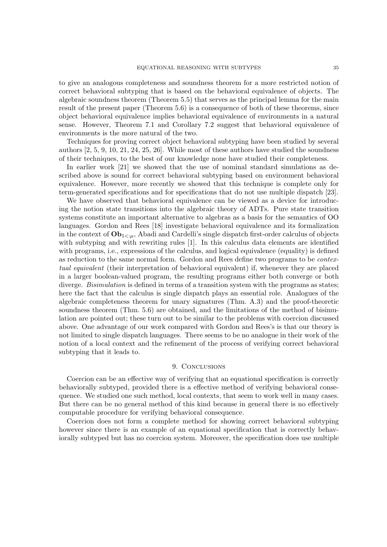to give an analogous completeness and soundness theorem for a more restricted notion of correct behavioral subtyping that is based on the behavioral equivalence of objects. The algebraic soundness theorem (Theorem 5.5) that serves as the principal lemma for the main result of the present paper (Theorem 5.6) is a consequence of both of these theorems, since object behavioral equivalence implies behavioral equivalence of environments in a natural sense. However, Theorem 7.1 and Corollary 7.2 suggest that behavioral equivalence of environments is the more natural of the two.

Techniques for proving correct object behavioral subtyping have been studied by several authors [2, 5, 9, 10, 21, 24, 25, 26]. While most of these authors have studied the soundness of their techniques, to the best of our knowledge none have studied their completeness.

In earlier work [21] we showed that the use of nominal standard simulations as described above is sound for correct behavioral subtyping based on environment behavioral equivalence. However, more recently we showed that this technique is complete only for term-generated specifications and for specifications that do not use multiple dispatch [23].

We have observed that behavioral equivalence can be viewed as a device for introducing the notion state transitions into the algebraic theory of ADTs. Pure state transition systems constitute an important alternative to algebras as a basis for the semantics of OO languages. Gordon and Rees [18] investigate behavioral equivalence and its formalization in the context of  $\mathbf{Ob}_{1\leq u}$ , Abadi and Cardelli's single dispatch first-order calculus of objects with subtyping and with rewriting rules [1]. In this calculus data elements are identified with programs, i.e., expressions of the calculus, and logical equivalence (equality) is defined as reduction to the same normal form. Gordon and Rees define two programs to be contextual equivalent (their interpretation of behavioral equivalent) if, whenever they are placed in a larger boolean-valued program, the resulting programs either both converge or both diverge. *Bisimulation* is defined in terms of a transition system with the programs as states; here the fact that the calculus is single dispatch plays an essential role. Analogues of the algebraic completeness theorem for unary signatures (Thm. A.3) and the proof-theoretic soundness theorem (Thm. 5.6) are obtained, and the limitations of the method of bisimulation are pointed out; these turn out to be similar to the problems with coercion discussed above. One advantage of our work compared with Gordon and Rees's is that our theory is not limited to single dispatch languages. There seems to be no analogue in their work of the notion of a local context and the refinement of the process of verifying correct behavioral subtyping that it leads to.

# 9. CONCLUSIONS

Coercion can be an effective way of verifying that an equational specification is correctly behaviorally subtyped, provided there is a effective method of verifying behavioral consequence. We studied one such method, local contexts, that seem to work well in many cases. But there can be no general method of this kind because in general there is no effectively computable procedure for verifying behavioral consequence.

Coercion does not form a complete method for showing correct behavioral subtyping however since there is an example of an equational specification that is correctly behaviorally subtyped but has no coercion system. Moreover, the specification does use multiple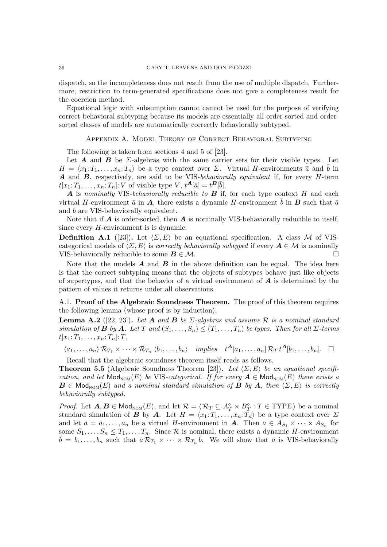dispatch, so the incompleteness does not result from the use of multiple dispatch. Furthermore, restriction to term-generated specifications does not give a completeness result for the coercion method.

Equational logic with subsumption cannot cannot be used for the purpose of verifying correct behavioral subtyping because its models are essentially all order-sorted and ordersorted classes of models are automatically correctly behaviorally subtyped.

## Appendix A. Model Theory of Correct Behavioral Subtyping

The following is taken from sections 4 and 5 of [23].

Let  $A$  and  $B$  be  $\Sigma$ -algebras with the same carrier sets for their visible types. Let  $H = \langle x_1: T_1, \ldots, x_n: T_n \rangle$  be a type context over  $\Sigma$ . Virtual H-environments  $\bar{a}$  and  $\bar{b}$  in A and B, respectively, are said to be VIS-behaviorally equivalent if, for every H-term  $t[x_1; T_1, \ldots, x_n; T_n]: V$  of visible type  $V, t^{\mathbf{A}}[\bar{a}] = t^{\mathbf{B}}[\bar{b}].$ 

A is nominally VIS-behaviorally reducible to  $\bf{B}$  if, for each type context  $H$  and each virtual H-environment  $\bar{a}$  in A, there exists a dynamic H-environment  $\bar{b}$  in B such that  $\bar{a}$ and  $b$  are VIS-behaviorally equivalent.

Note that if  $A$  is order-sorted, then  $A$  is nominally VIS-behaviorally reducible to itself, since every H-environment is is dynamic.

**Definition A.1** ([23]). Let  $\langle \Sigma, E \rangle$  be an equational specification. A class M of VIScategorical models of  $\langle \Sigma, E \rangle$  is *correctly behaviorally subtyped* if every  $A \in \mathcal{M}$  is nominally VIS-behaviorally reducible to some  $B \in \mathcal{M}$ .

Note that the models  $\boldsymbol{A}$  and  $\boldsymbol{B}$  in the above definition can be equal. The idea here is that the correct subtyping means that the objects of subtypes behave just like objects of supertypes, and that the behavior of a virtual environment of  $\boldsymbol{A}$  is determined by the pattern of values it returns under all observations.

A.1. Proof of the Algebraic Soundness Theorem. The proof of this theorem requires the following lemma (whose proof is by induction).

**Lemma A.2** ([22, 23]). Let A and B be  $\Sigma$ -algebras and assume R is a nominal standard simulation of **B** by **A**. Let T and  $(S_1, \ldots, S_n) \leq (T_1, \ldots, T_n)$  be types. Then for all  $\Sigma$ -terms  $t[x_1: T_1, \ldots, x_n: T_n]: T$ ,

$$
\langle a_1,\ldots,a_n\rangle \mathcal{R}_{T_1}\times\cdots\times\mathcal{R}_{T_n}\langle b_1,\ldots,b_n\rangle \quad implies \quad t^{\mathbf{A}}[a_1,\ldots,a_n]\mathcal{R}_T\,t^{\mathbf{A}}[b_1,\ldots,b_n].\quad \Box
$$

Recall that the algebraic soundness theorem itself reads as follows.

**Theorem 5.5** (Algebraic Soundness Theorem [23]). Let  $\langle \Sigma, E \rangle$  be an equational specification, and let  $\textsf{Mod}_{\text{NOM}}(E)$  be VIS-categorical. If for every  $A \in \textsf{Mod}_{\text{NOM}}(E)$  there exists a  $\mathbf{B} \in \mathsf{Mod}_{\mathrm{NOM}}(E)$  and a nominal standard simulation of  $\mathbf{B}$  by  $\mathbf{A}$ , then  $\langle \Sigma, E \rangle$  is correctly behaviorally subtyped.

*Proof.* Let  $A, B \in Mod_{\text{NOM}}(E)$ , and let  $\mathcal{R} = \langle \mathcal{R}_T \subseteq A_T^{\circ} \times B_T^{\circ} : T \in \text{TYPE} \rangle$  be a nominal standard simulation of **B** by **A**. Let  $H = \langle x_1: T_1, \ldots, x_n: T_n \rangle$  be a type context over  $\Sigma$ and let  $\bar{a} = a_1, \ldots, a_n$  be a virtual H-environment in **A**. Then  $\bar{a} \in A_{S_1} \times \cdots \times A_{S_n}$  for some  $S_1, \ldots, S_n \leq T_1, \ldots, T_n$ . Since  $\mathcal R$  is nominal, there exists a dynamic *H*-environment  $\bar{b} = b_1, \ldots, b_n$  such that  $\bar{a} \mathcal{R}_{T_1} \times \cdots \times \mathcal{R}_{T_n} \bar{b}$ . We will show that  $\bar{a}$  is VIS-behaviorally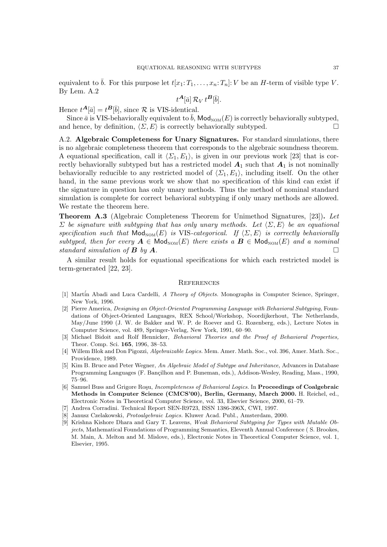equivalent to  $\bar{b}$ . For this purpose let  $t[x_1: T_1, \ldots, x_n: T_n]: V$  be an H-term of visible type V. By Lem. A.2

$$
t^{\boldsymbol{A}}[\bar{a}]\,\mathcal{R}_V\,t^{\boldsymbol{B}}[\bar{b}].
$$

Hence  $t^{\mathbf{A}}[\bar{a}] = t^{\mathbf{B}}[\bar{b}],$  since  $\mathcal R$  is VIS-identical.

Since  $\bar{a}$  is VIS-behaviorally equivalent to  $\bar{b}$ , Mod<sub>NOM</sub> $(E)$  is correctly behaviorally subtyped, and hence, by definition,  $\langle \Sigma, E \rangle$  is correctly behaviorally subtyped.

A.2. Algebraic Completeness for Unary Signatures. For standard simulations, there is no algebraic completeness theorem that corresponds to the algebraic soundness theorem. A equational specification, call it  $\langle \Sigma_1, E_1 \rangle$ , is given in our previous work [23] that is correctly behaviorally subtyped but has a restricted model  $A_1$  such that  $A_1$  is not nominally behaviorally reducible to any restricted model of  $\langle \Sigma_1, E_1 \rangle$ , including itself. On the other hand, in the same previous work we show that no specification of this kind can exist if the signature in question has only unary methods. Thus the method of nominal standard simulation is complete for correct behavioral subtyping if only unary methods are allowed. We restate the theorem here.

Theorem A.3 (Algebraic Completeness Theorem for Unimethod Signatures, [23]). Let  $\Sigma$  be signature with subtyping that has only unary methods. Let  $\langle \Sigma, E \rangle$  be an equational specification such that  $\textsf{Mod}_{\textsf{NOM}}(E)$  is VIS-categorical. If  $\langle \Sigma, E \rangle$  is correctly behaviorally subtyped, then for every  $A \in Mod_{\text{NOM}}(E)$  there exists a  $B \in Mod_{\text{NOM}}(E)$  and a nominal standard simulation of  $\bf{B}$  by  $\bf{A}$ .

A similar result holds for equational specifications for which each restricted model is term-generated [22, 23].

#### **REFERENCES**

- [1] Martin Abadi and Luca Cardelli, A Theory of Objects. Monographs in Computer Science, Springer, New York, 1996.
- [2] Pierre America, Designing an Object-Oriented Programming Language with Behavioral Subtyping, Foundations of Object-Oriented Languages, REX School/Workshop, Noordijkerhout, The Netherlands, May/June 1990 (J. W. de Bakker and W. P. de Roever and G. Rozenberg, eds.), Lecture Notes in Computer Science, vol. 489, Springer-Verlag, New York, 1991, 60–90.
- [3] Michael Bidoit and Rolf Hennicker, Behavioral Theories and the Proof of Behavioral Properties, Theor. Comp. Sci. 165, 1996, 38–53.
- [4] Willem Blok and Don Pigozzi, Algebraizable Logics. Mem. Amer. Math. Soc., vol. 396, Amer. Math. Soc., Providence, 1989.
- [5] Kim B. Bruce and Peter Wegner, An Algebraic Model of Subtype and Inheritance, Advances in Database Programming Languages (F. Bançilhon and P. Buneman, eds.), Addison-Wesley, Reading, Mass., 1990, 75–96.
- [6] Samuel Buss and Grigore Roşu, *Incompleteness of Behavioral Logics*. In **Proceedings of Coalgebraic** Methods in Computer Science (CMCS'00), Berlin, Germany, March 2000. H. Reichel, ed., Electronic Notes in Theoretical Computer Science, vol. 33, Elsevier Science, 2000, 61–79.
- [7] Andrea Corradini. Technical Report SEN-R9723, ISSN 1386-396X, CWI, 1997.
- Janusz Czelakowski, Protoalgebraic Logics. Kluwer Acad. Publ., Amsterdam, 2000.
- [9] Krishna Kishore Dhara and Gary T. Leavens, Weak Behavioral Subtyping for Types with Mutable Objects, Mathematical Foundations of Programming Semantics, Eleventh Annual Conference ( S. Brookes, M. Main, A. Melton and M. Mislove, eds.), Electronic Notes in Theoretical Computer Science, vol. 1, Elsevier, 1995.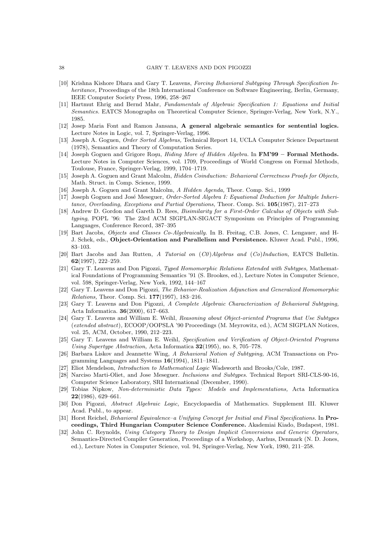- [10] Krishna Kishore Dhara and Gary T. Leavens, Forcing Behavioral Subtyping Through Specification Inheritance, Proceedings of the 18th International Conference on Software Engineering, Berlin, Germany, IEEE Computer Society Press, 1996, 258–267
- [11] Hartmut Ehrig and Bernd Mahr, Fundamentals of Algebraic Specification 1: Equations and Initial Semantics. EATCS Monographs on Theoretical Computer Science, Springer-Verlag, New York, N.Y., 1985.
- [12] Josep Maria Font and Ramon Jansana, A general algebraic semantics for sentential logics. Lecture Notes in Logic, vol. 7, Springer-Verlag, 1996.
- [13] Joseph A. Goguen, Order Sorted Algebras, Technical Report 14, UCLA Computer Science Department (1978), Semantics and Theory of Computation Series.
- [14] Joseph Goguen and Grigore Roşu, *Hiding More of Hidden Algebra*. In **FM'99 Formal Methods.** Lecture Notes in Computer Sciences, vol. 1709, Proceedings of World Congress on Formal Methods, Toulouse, France, Springer-Verlag, 1999, 1704–1719.
- [15] Joseph A. Goguen and Grant Malcolm, Hidden Coinduction: Behavioral Correctness Proofs for Objects, Math. Struct. in Comp. Science, 1999.
- [16] Joseph A. Goguen and Grant Malcolm, A Hidden Agenda, Theor. Comp. Sci., 1999
- [17] Joseph Goguen and José Meseguer, Order-Sorted Algebra I: Equational Deduction for Multiple Inheritance, Overloading, Exceptions and Partial Operations, Theor. Comp. Sci. 105(1987), 217–273
- [18] Andrew D. Gordon and Gareth D. Rees, Bisimilarity for a First-Order Calculus of Objects with Subtyping, POPL '96: The 23rd ACM SIGPLAN-SIGACT Symposium on Principles of Programming Languages, Conference Record, 387–395
- [19] Bart Jacobs, Objects and Classes Co-Algebraically. In B. Freitag, C.B. Jones, C. Lengauer, and H-J. Schek, eds., Object-Orientation and Parallelism and Persistence. Kluwer Acad. Publ., 1996, 83–103.
- [20] Bart Jacobs and Jan Rutten, A Tutorial on  $(C0)$ Algebras and  $(C0)$ Induction, EATCS Bulletin. 62(1997), 222–259.
- [21] Gary T. Leavens and Don Pigozzi, Typed Homomorphic Relations Extended with Subtypes, Mathematical Foundations of Programming Semantics '91 (S. Brookes, ed.), Lecture Notes in Computer Science, vol. 598, Springer-Verlag, New York, 1992, 144–167
- [22] Gary T. Leavens and Don Pigozzi, The Behavior-Realization Adjunction and Generalized Homomorphic Relations, Theor. Comp. Sci. 177(1997), 183–216.
- [23] Gary T. Leavens and Don Pigozzi, A Complete Algebraic Characterization of Behavioral Subtyping, Acta Informatica. 36(2000), 617–663.
- [24] Gary T. Leavens and William E. Weihl, Reasoning about Object-oriented Programs that Use Subtypes (extended abstract), ECOOP/OOPSLA '90 Proceedings (M. Meyrowitz, ed.), ACM SIGPLAN Notices, vol. 25, ACM, October, 1990, 212–223.
- [25] Gary T. Leavens and William E. Weihl, Specification and Verification of Object-Oriented Programs Using Supertype Abstraction, Acta Informatica 32(1995), no. 8, 705–778.
- [26] Barbara Liskov and Jeannette Wing, A Behavioral Notion of Subtyping, ACM Transactions on Programming Languages and Systems 16(1994), 1811–1841.
- [27] Eliot Mendelson, Introduction to Mathematical Logic Wadsworth and Brooks/Cole, 1987.
- [28] Narciso Marti-Oliet, and Jose Meseguer. Inclusions and Subtypes. Technical Report SRI-CLS-90-16, Computer Science Laboratory, SRI International (December, 1990).
- [29] Tobias Nipkow, Non-deterministic Data Types: Models and Implementations, Acta Informatica 22(1986), 629–661.
- [30] Don Pigozzi, Abstract Algebraic Logic, Encyclopaedia of Mathematics. Supplement III. Kluwer Acad. Publ., to appear.
- [31] Horst Reichel, Behavioral Equivalence–a Unifying Concept for Initial and Final Specifications. In Proceedings, Third Hungarian Computer Science Conference. Akademiai Kiado, Budapest, 1981.
- [32] John C. Reynolds, Using Category Theory to Design Implicit Conversions and Generic Operators, Semantics-Directed Compiler Generation, Proceedings of a Workshop, Aarhus, Denmark (N. D. Jones, ed.), Lecture Notes in Computer Science, vol. 94, Springer-Verlag, New York, 1980, 211–258.